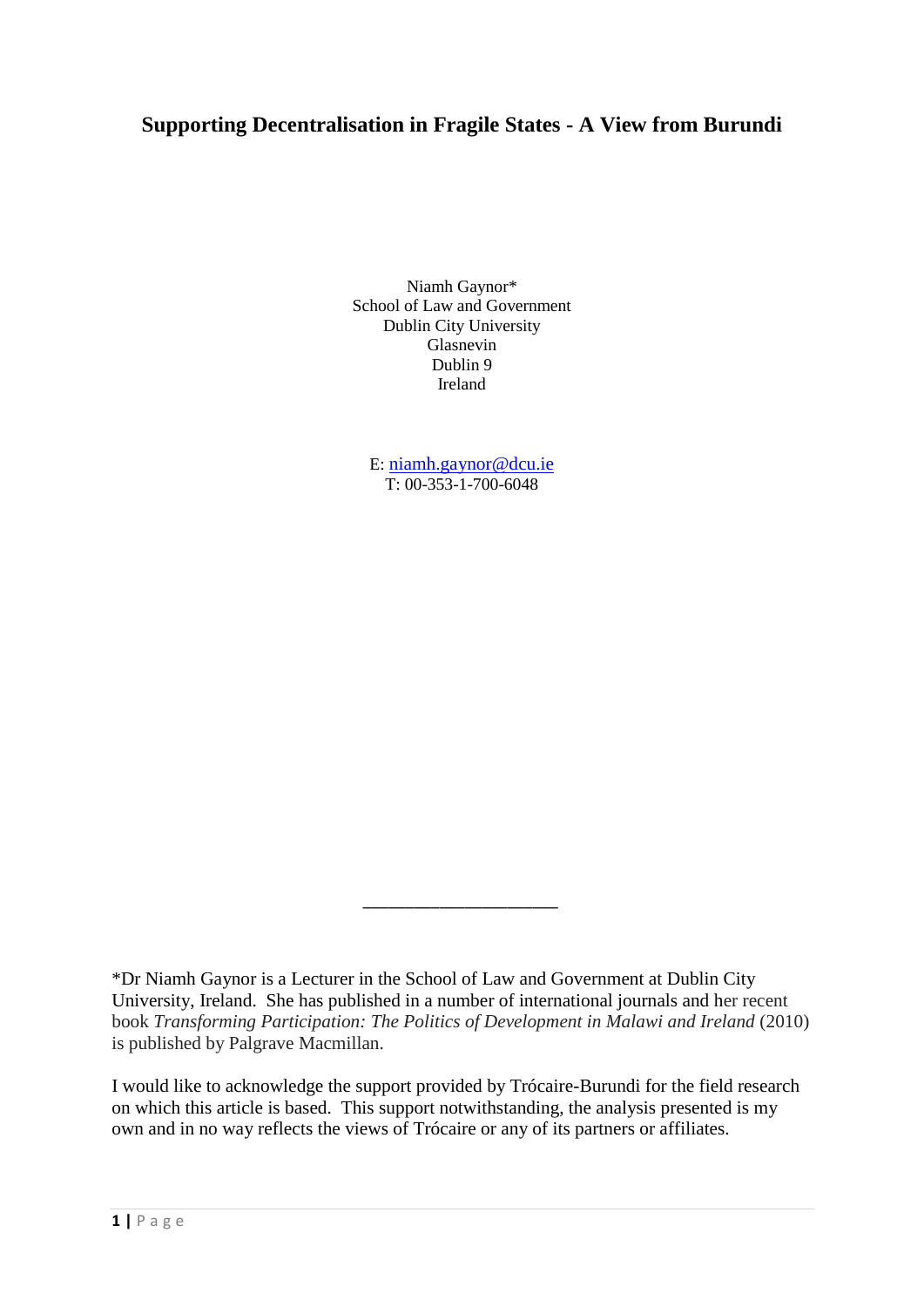# **Supporting Decentralisation in Fragile States - A View from Burundi**

Niamh Gaynor\* School of Law and Government Dublin City University Glasnevin Dublin 9 Ireland

E: [niamh.gaynor@dcu.ie](mailto:niamh.gaynor@dcu.ie) T: 00-353-1-700-6048

\*Dr Niamh Gaynor is a Lecturer in the School of Law and Government at Dublin City University, Ireland. She has published in a number of international journals and her recent book *Transforming Participation: The Politics of Development in Malawi and Ireland* (2010) is published by Palgrave Macmillan.

*\_\_\_\_\_\_\_\_\_\_\_\_\_\_\_\_\_\_\_\_\_\_\_*

I would like to acknowledge the support provided by Trócaire-Burundi for the field research on which this article is based. This support notwithstanding, the analysis presented is my own and in no way reflects the views of Trócaire or any of its partners or affiliates.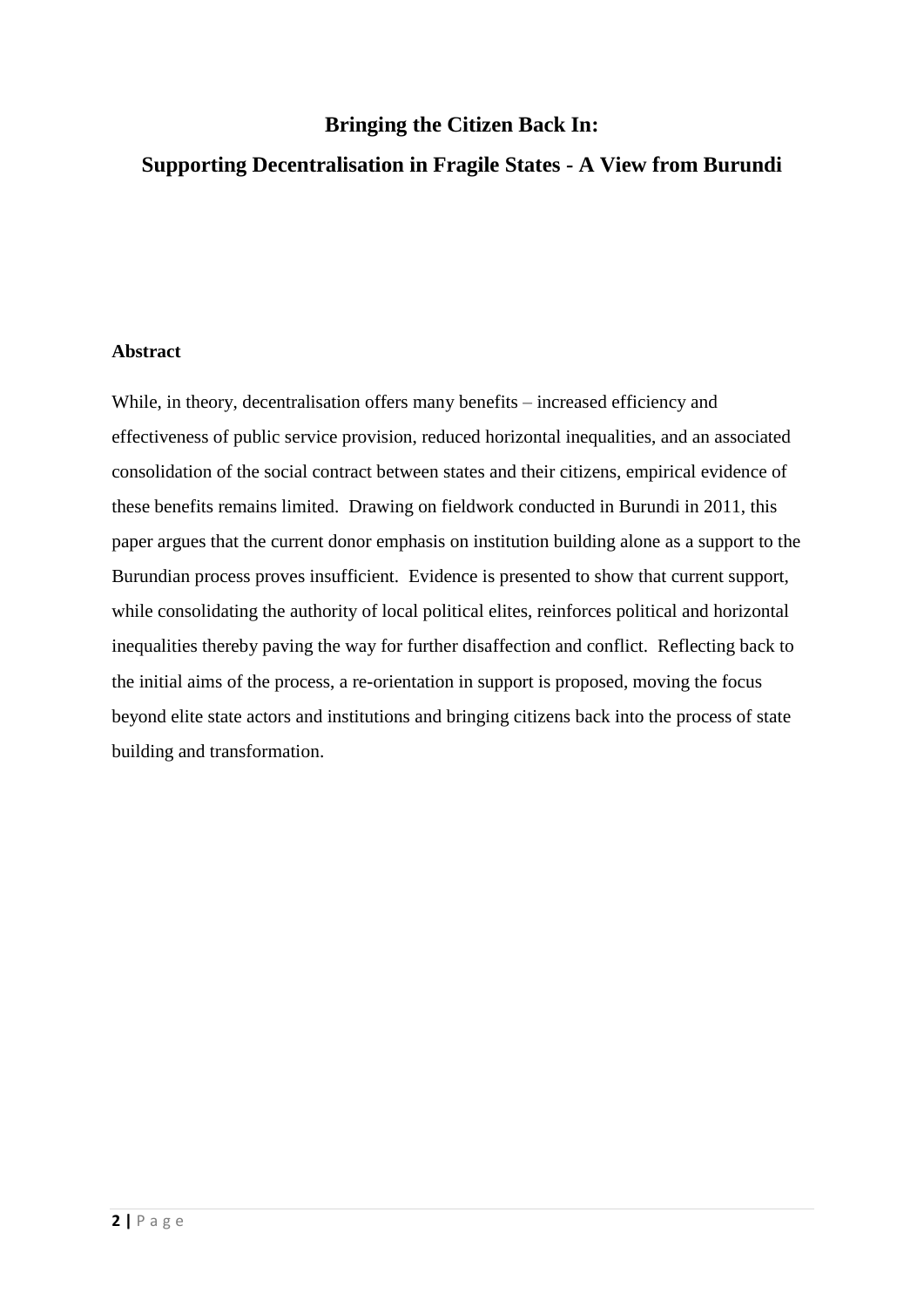## **Bringing the Citizen Back In:**

## **Supporting Decentralisation in Fragile States - A View from Burundi**

### **Abstract**

While, in theory, decentralisation offers many benefits – increased efficiency and effectiveness of public service provision, reduced horizontal inequalities, and an associated consolidation of the social contract between states and their citizens, empirical evidence of these benefits remains limited. Drawing on fieldwork conducted in Burundi in 2011, this paper argues that the current donor emphasis on institution building alone as a support to the Burundian process proves insufficient. Evidence is presented to show that current support, while consolidating the authority of local political elites, reinforces political and horizontal inequalities thereby paving the way for further disaffection and conflict. Reflecting back to the initial aims of the process, a re-orientation in support is proposed, moving the focus beyond elite state actors and institutions and bringing citizens back into the process of state building and transformation.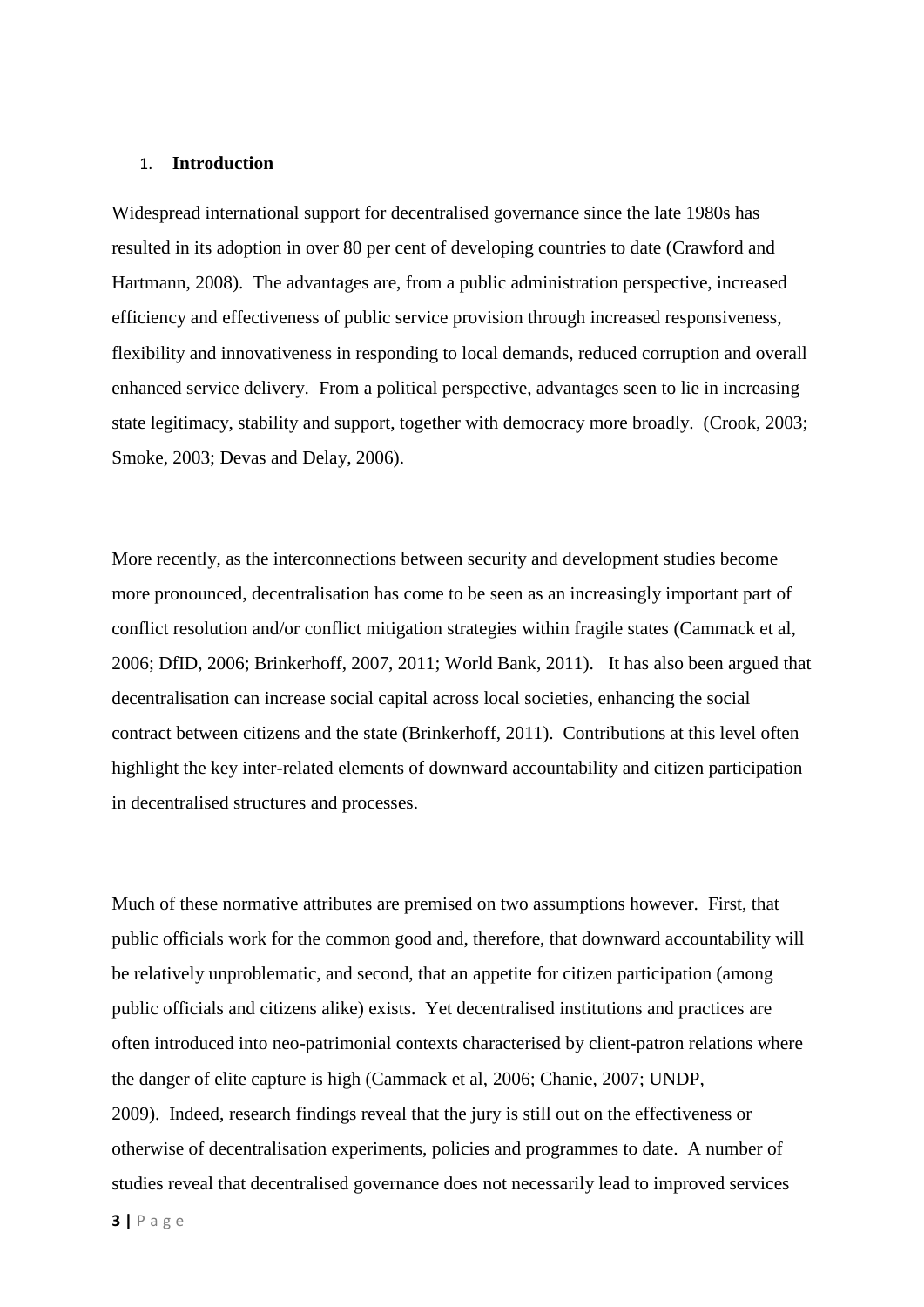## 1. **Introduction**

Widespread international support for decentralised governance since the late 1980s has resulted in its adoption in over 80 per cent of developing countries to date (Crawford and Hartmann, 2008). The advantages are, from a public administration perspective, increased efficiency and effectiveness of public service provision through increased responsiveness, flexibility and innovativeness in responding to local demands, reduced corruption and overall enhanced service delivery. From a political perspective, advantages seen to lie in increasing state legitimacy, stability and support, together with democracy more broadly. (Crook, 2003; Smoke, 2003; Devas and Delay, 2006).

More recently, as the interconnections between security and development studies become more pronounced, decentralisation has come to be seen as an increasingly important part of conflict resolution and/or conflict mitigation strategies within fragile states (Cammack et al, 2006; DfID, 2006; Brinkerhoff, 2007, 2011; World Bank, 2011). It has also been argued that decentralisation can increase social capital across local societies, enhancing the social contract between citizens and the state (Brinkerhoff, 2011). Contributions at this level often highlight the key inter-related elements of downward accountability and citizen participation in decentralised structures and processes.

Much of these normative attributes are premised on two assumptions however. First, that public officials work for the common good and, therefore, that downward accountability will be relatively unproblematic, and second, that an appetite for citizen participation (among public officials and citizens alike) exists. Yet decentralised institutions and practices are often introduced into neo-patrimonial contexts characterised by client-patron relations where the danger of elite capture is high (Cammack et al, 2006; Chanie, 2007; UNDP, 2009). Indeed, research findings reveal that the jury is still out on the effectiveness or otherwise of decentralisation experiments, policies and programmes to date. A number of studies reveal that decentralised governance does not necessarily lead to improved services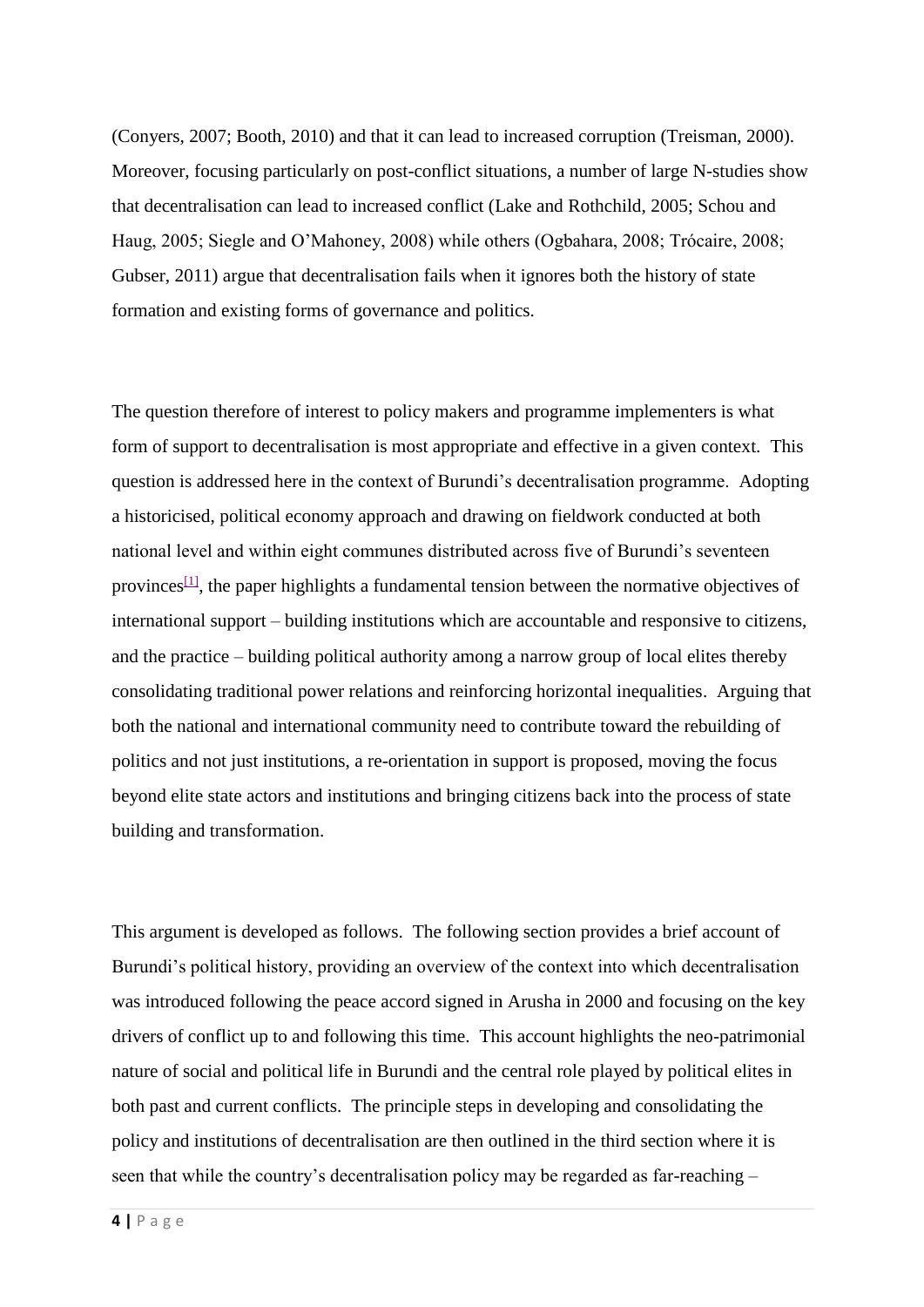(Conyers, 2007; Booth, 2010) and that it can lead to increased corruption (Treisman, 2000). Moreover, focusing particularly on post-conflict situations, a number of large N-studies show that decentralisation can lead to increased conflict (Lake and Rothchild, 2005; Schou and Haug, 2005; Siegle and O'Mahoney, 2008) while others (Ogbahara, 2008; Trócaire, 2008; Gubser, 2011) argue that decentralisation fails when it ignores both the history of state formation and existing forms of governance and politics.

The question therefore of interest to policy makers and programme implementers is what form of support to decentralisation is most appropriate and effective in a given context. This question is addressed here in the context of Burundi's decentralisation programme. Adopting a historicised, political economy approach and drawing on fieldwork conducted at both national level and within eight communes distributed across five of Burundi's seventeen provinces<sup>[\[1\]](http://mc.manuscriptcentral.com/LongRequest/dpr?TAG_ACTION=DOWNLOAD_FILE_BY_NAME&DOCUMENT_ID=12071983&FILE_TO_DOWNLOAD=12071983_File000001_228024029.html-withlinks.htm&FILE_KEY=-1525394432&FILE_NAME_KEY=1498170122&DOWNLOAD=TRUE&FILE_TYPE=DOCUMENT&DOCUMENT_HASHCODE=&SANITY_CHECK_DOCUMENT_ID=&CURRENT_ROLE_ID=28935#_ftn1)</sup>, the paper highlights a fundamental tension between the normative objectives of international support – building institutions which are accountable and responsive to citizens, and the practice – building political authority among a narrow group of local elites thereby consolidating traditional power relations and reinforcing horizontal inequalities. Arguing that both the national and international community need to contribute toward the rebuilding of politics and not just institutions, a re-orientation in support is proposed, moving the focus beyond elite state actors and institutions and bringing citizens back into the process of state building and transformation.

This argument is developed as follows. The following section provides a brief account of Burundi's political history, providing an overview of the context into which decentralisation was introduced following the peace accord signed in Arusha in 2000 and focusing on the key drivers of conflict up to and following this time. This account highlights the neo-patrimonial nature of social and political life in Burundi and the central role played by political elites in both past and current conflicts. The principle steps in developing and consolidating the policy and institutions of decentralisation are then outlined in the third section where it is seen that while the country's decentralisation policy may be regarded as far-reaching –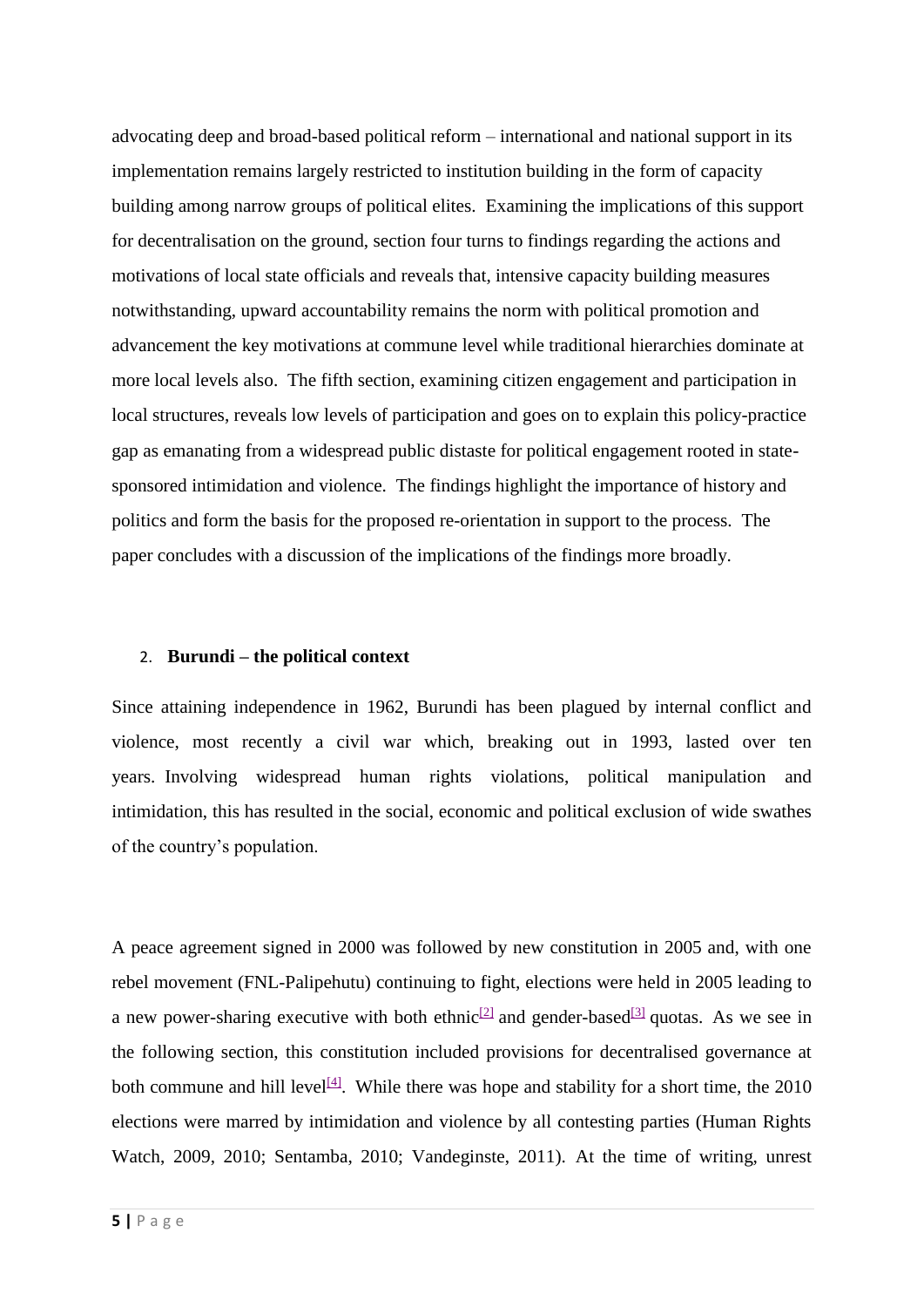advocating deep and broad-based political reform – international and national support in its implementation remains largely restricted to institution building in the form of capacity building among narrow groups of political elites. Examining the implications of this support for decentralisation on the ground, section four turns to findings regarding the actions and motivations of local state officials and reveals that, intensive capacity building measures notwithstanding, upward accountability remains the norm with political promotion and advancement the key motivations at commune level while traditional hierarchies dominate at more local levels also. The fifth section, examining citizen engagement and participation in local structures, reveals low levels of participation and goes on to explain this policy-practice gap as emanating from a widespread public distaste for political engagement rooted in statesponsored intimidation and violence. The findings highlight the importance of history and politics and form the basis for the proposed re-orientation in support to the process. The paper concludes with a discussion of the implications of the findings more broadly.

#### 2. **Burundi – the political context**

Since attaining independence in 1962, Burundi has been plagued by internal conflict and violence, most recently a civil war which, breaking out in 1993, lasted over ten years. Involving widespread human rights violations, political manipulation and intimidation, this has resulted in the social, economic and political exclusion of wide swathes of the country's population.

A peace agreement signed in 2000 was followed by new constitution in 2005 and, with one rebel movement (FNL-Palipehutu) continuing to fight, elections were held in 2005 leading to a new power-sharing executive with both ethnic<sup>[\[2\]](http://mc.manuscriptcentral.com/LongRequest/dpr?TAG_ACTION=DOWNLOAD_FILE_BY_NAME&DOCUMENT_ID=12071983&FILE_TO_DOWNLOAD=12071983_File000001_228024029.html-withlinks.htm&FILE_KEY=-1525394432&FILE_NAME_KEY=1498170122&DOWNLOAD=TRUE&FILE_TYPE=DOCUMENT&DOCUMENT_HASHCODE=&SANITY_CHECK_DOCUMENT_ID=&CURRENT_ROLE_ID=28935#_ftn2)</sup> and gender-based<sup>[\[3\]](http://mc.manuscriptcentral.com/LongRequest/dpr?TAG_ACTION=DOWNLOAD_FILE_BY_NAME&DOCUMENT_ID=12071983&FILE_TO_DOWNLOAD=12071983_File000001_228024029.html-withlinks.htm&FILE_KEY=-1525394432&FILE_NAME_KEY=1498170122&DOWNLOAD=TRUE&FILE_TYPE=DOCUMENT&DOCUMENT_HASHCODE=&SANITY_CHECK_DOCUMENT_ID=&CURRENT_ROLE_ID=28935#_ftn3)</sup> quotas. As we see in the following section, this constitution included provisions for decentralised governance at both commune and hill level<sup>[\[4\]](http://mc.manuscriptcentral.com/LongRequest/dpr?TAG_ACTION=DOWNLOAD_FILE_BY_NAME&DOCUMENT_ID=12071983&FILE_TO_DOWNLOAD=12071983_File000001_228024029.html-withlinks.htm&FILE_KEY=-1525394432&FILE_NAME_KEY=1498170122&DOWNLOAD=TRUE&FILE_TYPE=DOCUMENT&DOCUMENT_HASHCODE=&SANITY_CHECK_DOCUMENT_ID=&CURRENT_ROLE_ID=28935#_ftn4)</sup>. While there was hope and stability for a short time, the  $2010$ elections were marred by intimidation and violence by all contesting parties (Human Rights Watch, 2009, 2010; Sentamba, 2010; Vandeginste, 2011). At the time of writing, unrest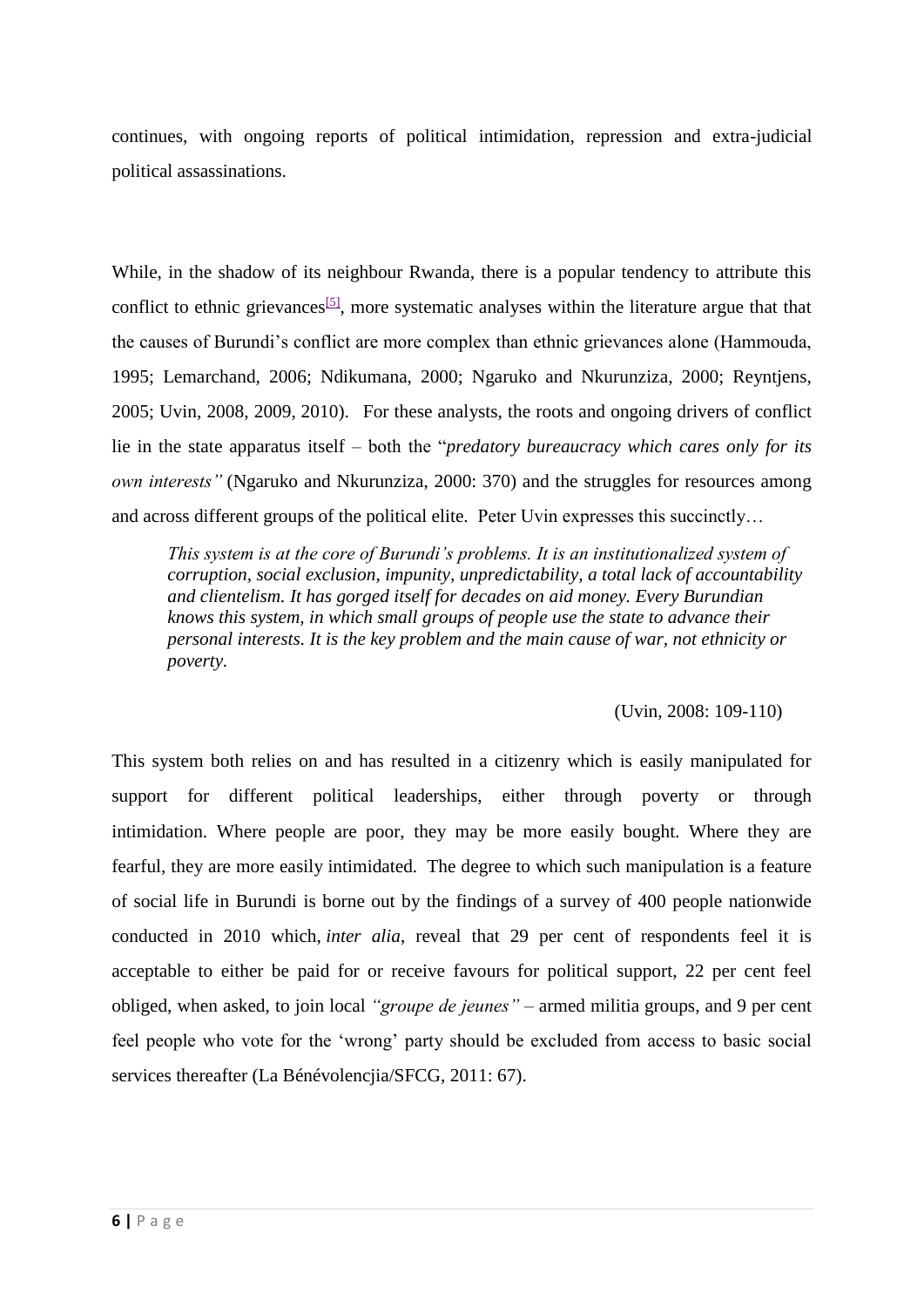continues, with ongoing reports of political intimidation, repression and extra-judicial political assassinations.

While, in the shadow of its neighbour Rwanda, there is a popular tendency to attribute this conflict to ethnic grievances<sup>[\[5\]](http://mc.manuscriptcentral.com/LongRequest/dpr?TAG_ACTION=DOWNLOAD_FILE_BY_NAME&DOCUMENT_ID=12071983&FILE_TO_DOWNLOAD=12071983_File000001_228024029.html-withlinks.htm&FILE_KEY=-1525394432&FILE_NAME_KEY=1498170122&DOWNLOAD=TRUE&FILE_TYPE=DOCUMENT&DOCUMENT_HASHCODE=&SANITY_CHECK_DOCUMENT_ID=&CURRENT_ROLE_ID=28935#_ftn5)</sup>, more systematic analyses within the literature argue that that the causes of Burundi's conflict are more complex than ethnic grievances alone (Hammouda, 1995; Lemarchand, 2006; Ndikumana, 2000; Ngaruko and Nkurunziza, 2000; Reyntjens, 2005; Uvin, 2008, 2009, 2010). For these analysts, the roots and ongoing drivers of conflict lie in the state apparatus itself – both the "*predatory bureaucracy which cares only for its own interests"* (Ngaruko and Nkurunziza, 2000: 370) and the struggles for resources among and across different groups of the political elite. Peter Uvin expresses this succinctly…

*This system is at the core of Burundi's problems. It is an institutionalized system of corruption, social exclusion, impunity, unpredictability, a total lack of accountability and clientelism. It has gorged itself for decades on aid money. Every Burundian knows this system, in which small groups of people use the state to advance their personal interests. It is the key problem and the main cause of war, not ethnicity or poverty.*

(Uvin, 2008: 109-110)

This system both relies on and has resulted in a citizenry which is easily manipulated for support for different political leaderships, either through poverty or through intimidation. Where people are poor, they may be more easily bought. Where they are fearful, they are more easily intimidated. The degree to which such manipulation is a feature of social life in Burundi is borne out by the findings of a survey of 400 people nationwide conducted in 2010 which, *inter alia*, reveal that 29 per cent of respondents feel it is acceptable to either be paid for or receive favours for political support, 22 per cent feel obliged, when asked, to join local *"groupe de jeunes"* – armed militia groups, and 9 per cent feel people who vote for the 'wrong' party should be excluded from access to basic social services thereafter (La Bénévolencjia/SFCG, 2011: 67).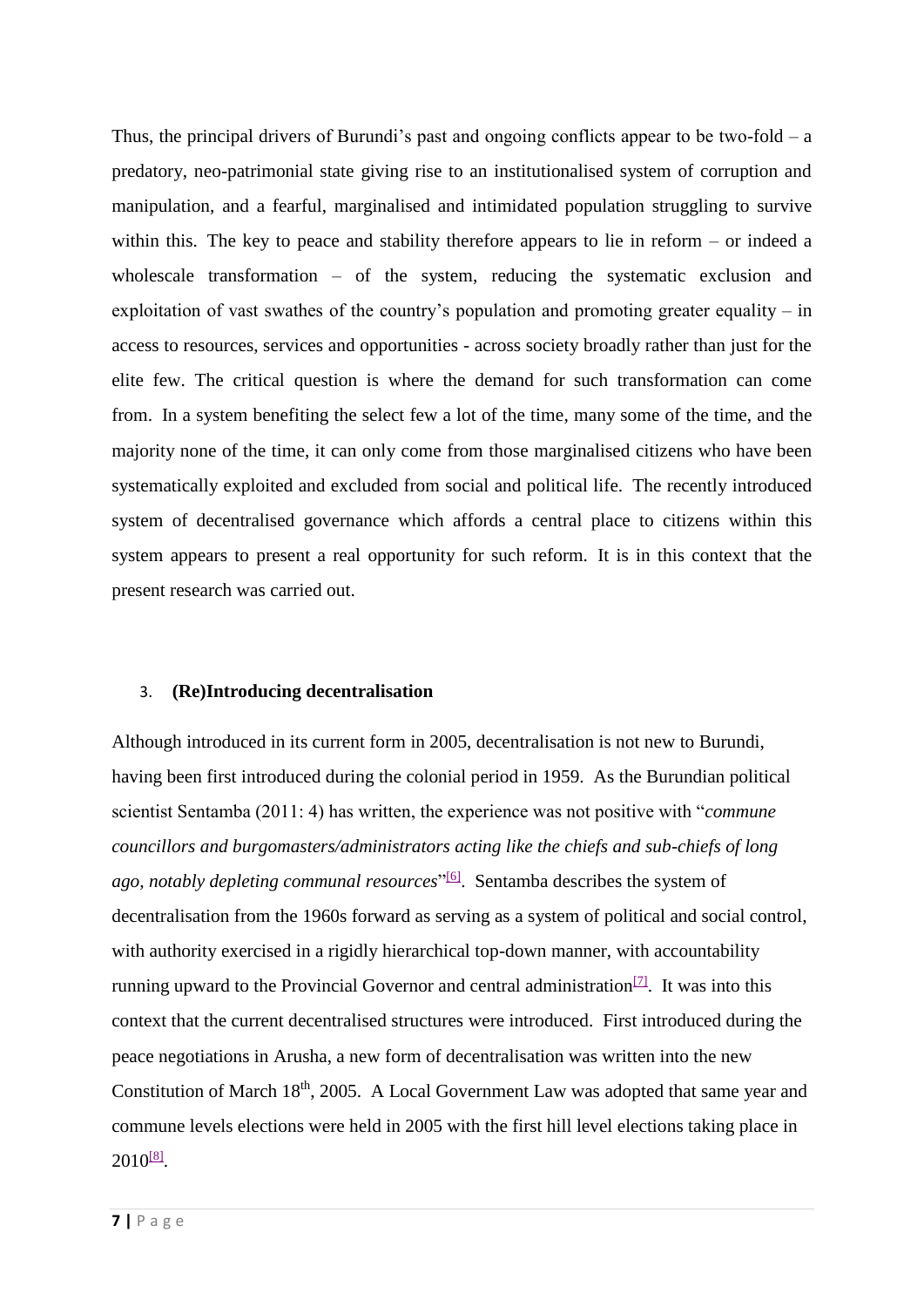Thus, the principal drivers of Burundi's past and ongoing conflicts appear to be two-fold – a predatory, neo-patrimonial state giving rise to an institutionalised system of corruption and manipulation, and a fearful, marginalised and intimidated population struggling to survive within this. The key to peace and stability therefore appears to lie in reform – or indeed a wholescale transformation – of the system, reducing the systematic exclusion and exploitation of vast swathes of the country's population and promoting greater equality – in access to resources, services and opportunities - across society broadly rather than just for the elite few. The critical question is where the demand for such transformation can come from. In a system benefiting the select few a lot of the time, many some of the time, and the majority none of the time, it can only come from those marginalised citizens who have been systematically exploited and excluded from social and political life. The recently introduced system of decentralised governance which affords a central place to citizens within this system appears to present a real opportunity for such reform. It is in this context that the present research was carried out.

## 3. **(Re)Introducing decentralisation**

Although introduced in its current form in 2005, decentralisation is not new to Burundi, having been first introduced during the colonial period in 1959. As the Burundian political scientist Sentamba (2011: 4) has written, the experience was not positive with "*commune councillors and burgomasters/administrators acting like the chiefs and sub-chiefs of long ago, notably depleting communal resources*" [\[6\]](http://mc.manuscriptcentral.com/LongRequest/dpr?TAG_ACTION=DOWNLOAD_FILE_BY_NAME&DOCUMENT_ID=12071983&FILE_TO_DOWNLOAD=12071983_File000001_228024029.html-withlinks.htm&FILE_KEY=-1525394432&FILE_NAME_KEY=1498170122&DOWNLOAD=TRUE&FILE_TYPE=DOCUMENT&DOCUMENT_HASHCODE=&SANITY_CHECK_DOCUMENT_ID=&CURRENT_ROLE_ID=28935#_ftn6) . Sentamba describes the system of decentralisation from the 1960s forward as serving as a system of political and social control, with authority exercised in a rigidly hierarchical top-down manner, with accountability running upward to the Provincial Governor and central administration<sup>[\[7\]](http://mc.manuscriptcentral.com/LongRequest/dpr?TAG_ACTION=DOWNLOAD_FILE_BY_NAME&DOCUMENT_ID=12071983&FILE_TO_DOWNLOAD=12071983_File000001_228024029.html-withlinks.htm&FILE_KEY=-1525394432&FILE_NAME_KEY=1498170122&DOWNLOAD=TRUE&FILE_TYPE=DOCUMENT&DOCUMENT_HASHCODE=&SANITY_CHECK_DOCUMENT_ID=&CURRENT_ROLE_ID=28935#_ftn7)</sup>. It was into this context that the current decentralised structures were introduced. First introduced during the peace negotiations in Arusha, a new form of decentralisation was written into the new Constitution of March 18<sup>th</sup>, 2005. A Local Government Law was adopted that same year and commune levels elections were held in 2005 with the first hill level elections taking place in  $2010^{[8]}$  $2010^{[8]}$  $2010^{[8]}$ .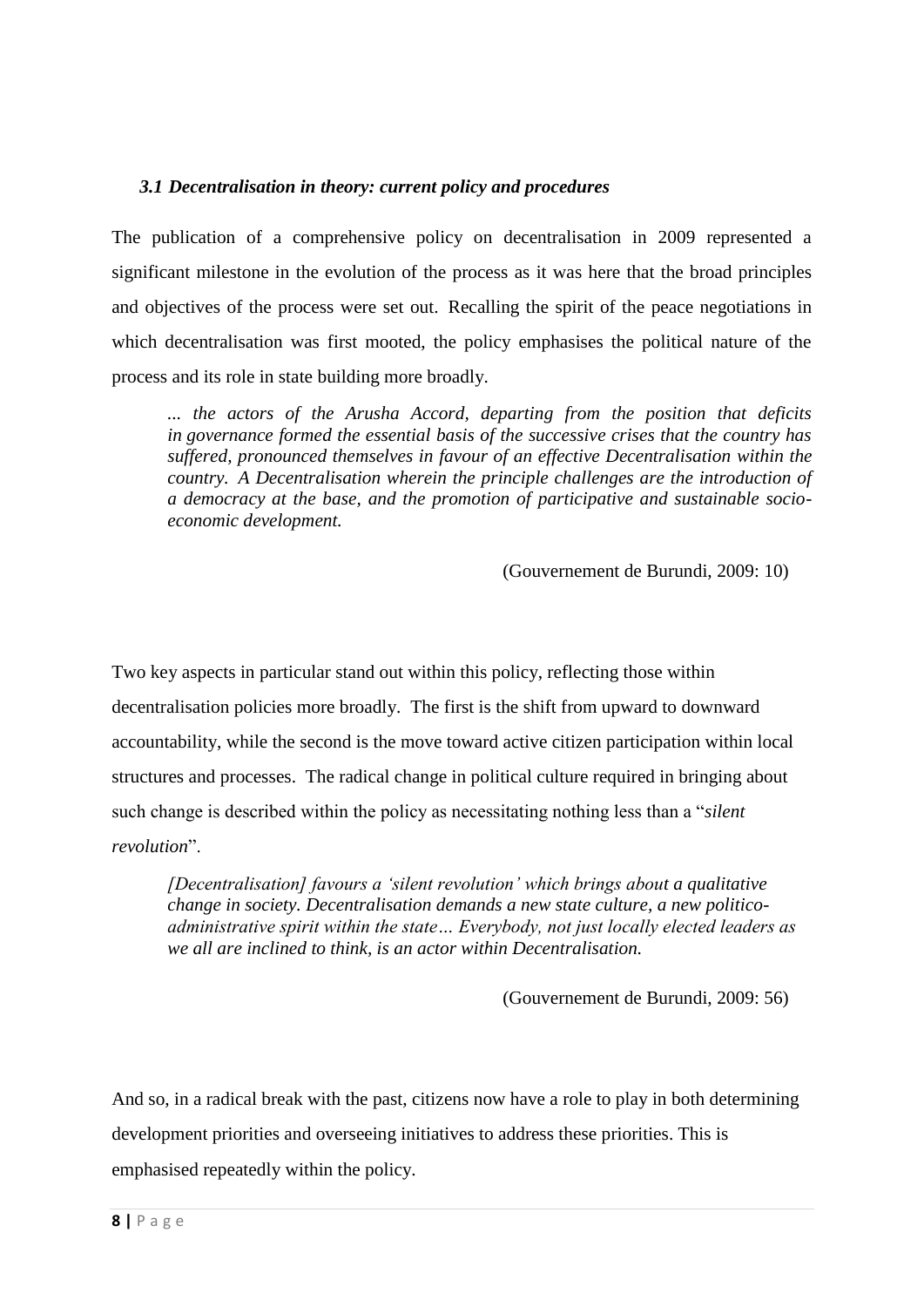## *3.1 Decentralisation in theory: current policy and procedures*

The publication of a comprehensive policy on decentralisation in 2009 represented a significant milestone in the evolution of the process as it was here that the broad principles and objectives of the process were set out. Recalling the spirit of the peace negotiations in which decentralisation was first mooted, the policy emphasises the political nature of the process and its role in state building more broadly.

*... the actors of the Arusha Accord, departing from the position that deficits in governance formed the essential basis of the successive crises that the country has suffered, pronounced themselves in favour of an effective Decentralisation within the country. A Decentralisation wherein the principle challenges are the introduction of a democracy at the base, and the promotion of participative and sustainable socioeconomic development.*

(Gouvernement de Burundi, 2009: 10)

Two key aspects in particular stand out within this policy, reflecting those within decentralisation policies more broadly. The first is the shift from upward to downward accountability, while the second is the move toward active citizen participation within local structures and processes. The radical change in political culture required in bringing about such change is described within the policy as necessitating nothing less than a "*silent revolution*".

*[Decentralisation] favours a 'silent revolution' which brings about a qualitative change in society. Decentralisation demands a new state culture, a new politicoadministrative spirit within the state… Everybody, not just locally elected leaders as we all are inclined to think, is an actor within Decentralisation.*

(Gouvernement de Burundi, 2009: 56)

And so, in a radical break with the past, citizens now have a role to play in both determining development priorities and overseeing initiatives to address these priorities. This is emphasised repeatedly within the policy.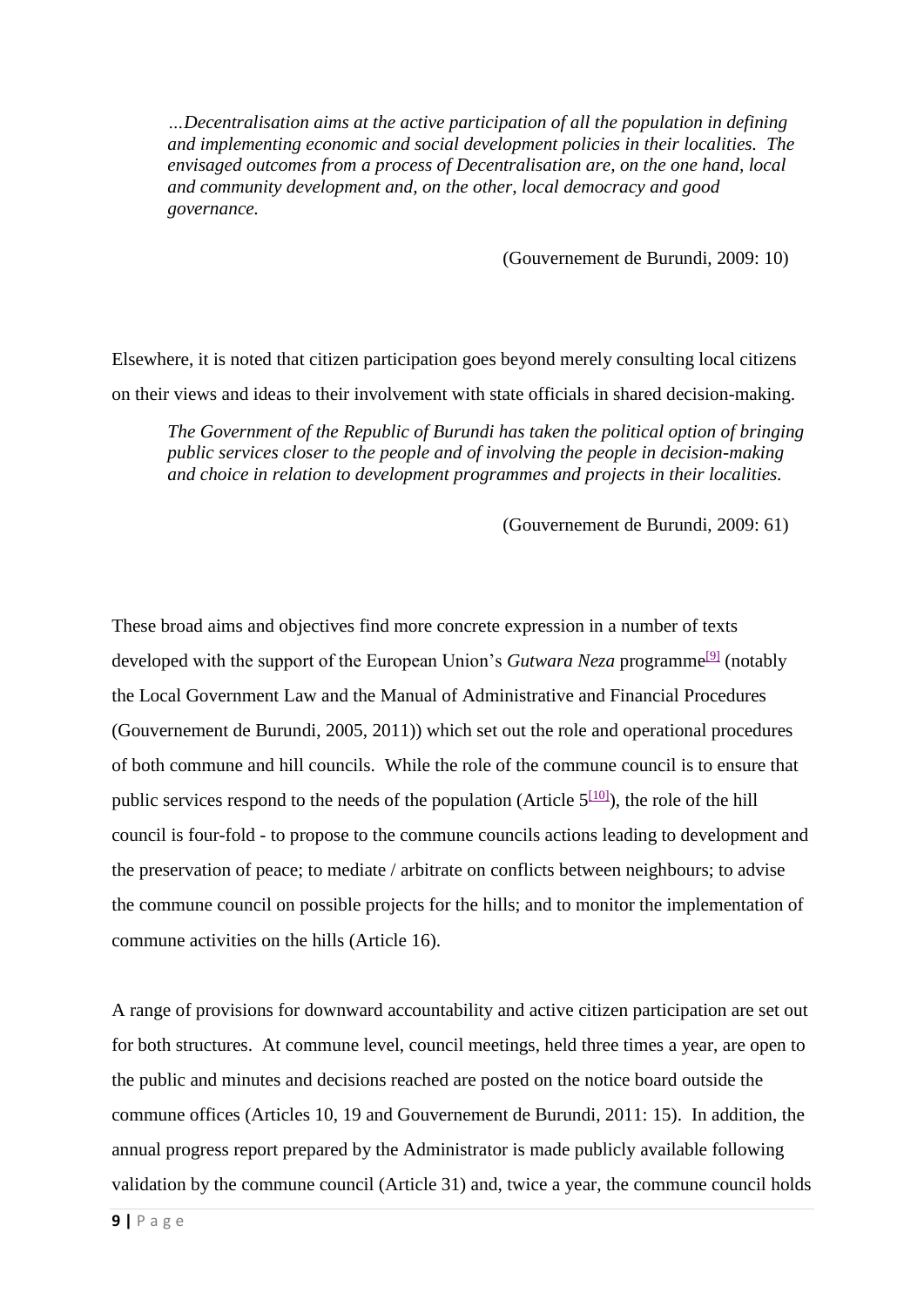*…Decentralisation aims at the active participation of all the population in defining and implementing economic and social development policies in their localities. The envisaged outcomes from a process of Decentralisation are, on the one hand, local and community development and, on the other, local democracy and good governance.*

(Gouvernement de Burundi, 2009: 10)

Elsewhere, it is noted that citizen participation goes beyond merely consulting local citizens on their views and ideas to their involvement with state officials in shared decision-making.

*The Government of the Republic of Burundi has taken the political option of bringing public services closer to the people and of involving the people in decision-making and choice in relation to development programmes and projects in their localities.*

(Gouvernement de Burundi, 2009: 61)

These broad aims and objectives find more concrete expression in a number of texts developed with the support of the European Union's *Gutwara Neza* programme<sup>[\[9\]](http://mc.manuscriptcentral.com/LongRequest/dpr?TAG_ACTION=DOWNLOAD_FILE_BY_NAME&DOCUMENT_ID=12071983&FILE_TO_DOWNLOAD=12071983_File000001_228024029.html-withlinks.htm&FILE_KEY=-1525394432&FILE_NAME_KEY=1498170122&DOWNLOAD=TRUE&FILE_TYPE=DOCUMENT&DOCUMENT_HASHCODE=&SANITY_CHECK_DOCUMENT_ID=&CURRENT_ROLE_ID=28935#_ftn9)</sup> (notably the Local Government Law and the Manual of Administrative and Financial Procedures (Gouvernement de Burundi, 2005, 2011)) which set out the role and operational procedures of both commune and hill councils. While the role of the commune council is to ensure that public services respond to the needs of the population (Article  $5^{[10]}$  $5^{[10]}$  $5^{[10]}$ ), the role of the hill council is four-fold - to propose to the commune councils actions leading to development and the preservation of peace; to mediate / arbitrate on conflicts between neighbours; to advise the commune council on possible projects for the hills; and to monitor the implementation of commune activities on the hills (Article 16).

A range of provisions for downward accountability and active citizen participation are set out for both structures. At commune level, council meetings, held three times a year, are open to the public and minutes and decisions reached are posted on the notice board outside the commune offices (Articles 10, 19 and Gouvernement de Burundi, 2011: 15). In addition, the annual progress report prepared by the Administrator is made publicly available following validation by the commune council (Article 31) and, twice a year, the commune council holds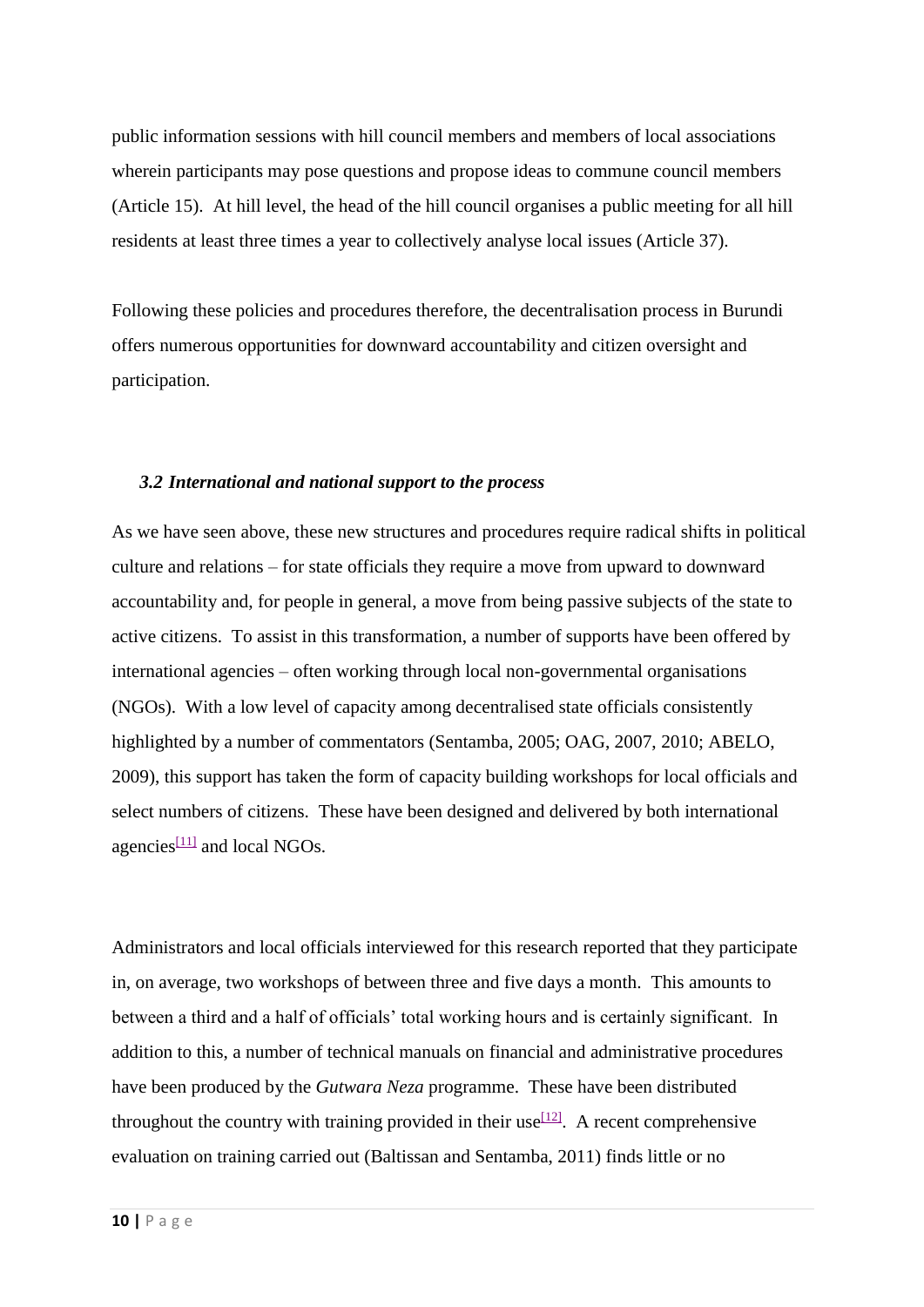public information sessions with hill council members and members of local associations wherein participants may pose questions and propose ideas to commune council members (Article 15). At hill level, the head of the hill council organises a public meeting for all hill residents at least three times a year to collectively analyse local issues (Article 37).

Following these policies and procedures therefore, the decentralisation process in Burundi offers numerous opportunities for downward accountability and citizen oversight and participation.

### *3.2 International and national support to the process*

As we have seen above, these new structures and procedures require radical shifts in political culture and relations – for state officials they require a move from upward to downward accountability and, for people in general, a move from being passive subjects of the state to active citizens. To assist in this transformation, a number of supports have been offered by international agencies – often working through local non-governmental organisations (NGOs). With a low level of capacity among decentralised state officials consistently highlighted by a number of commentators (Sentamba, 2005; OAG, 2007, 2010; ABELO, 2009), this support has taken the form of capacity building workshops for local officials and select numbers of citizens. These have been designed and delivered by both international agencies $\frac{[11]}{]}$  $\frac{[11]}{]}$  $\frac{[11]}{]}$  and local NGOs.

Administrators and local officials interviewed for this research reported that they participate in, on average, two workshops of between three and five days a month. This amounts to between a third and a half of officials' total working hours and is certainly significant. In addition to this, a number of technical manuals on financial and administrative procedures have been produced by the *Gutwara Neza* programme. These have been distributed throughout the country with training provided in their use  $[12]$ . A recent comprehensive evaluation on training carried out (Baltissan and Sentamba, 2011) finds little or no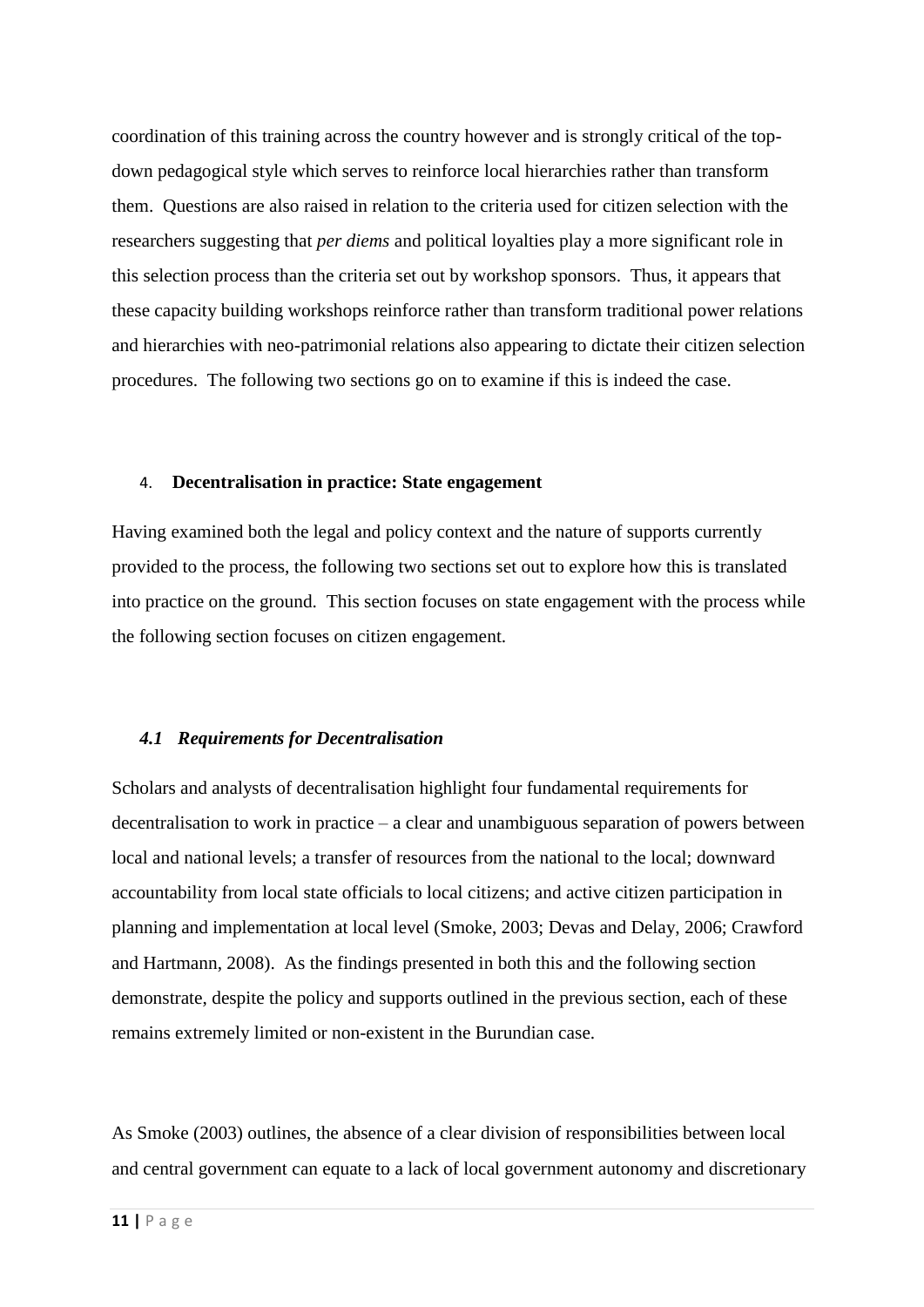coordination of this training across the country however and is strongly critical of the topdown pedagogical style which serves to reinforce local hierarchies rather than transform them. Questions are also raised in relation to the criteria used for citizen selection with the researchers suggesting that *per diems* and political loyalties play a more significant role in this selection process than the criteria set out by workshop sponsors. Thus, it appears that these capacity building workshops reinforce rather than transform traditional power relations and hierarchies with neo-patrimonial relations also appearing to dictate their citizen selection procedures. The following two sections go on to examine if this is indeed the case.

### 4. **Decentralisation in practice: State engagement**

Having examined both the legal and policy context and the nature of supports currently provided to the process, the following two sections set out to explore how this is translated into practice on the ground. This section focuses on state engagement with the process while the following section focuses on citizen engagement.

## *4.1 Requirements for Decentralisation*

Scholars and analysts of decentralisation highlight four fundamental requirements for decentralisation to work in practice – a clear and unambiguous separation of powers between local and national levels; a transfer of resources from the national to the local; downward accountability from local state officials to local citizens; and active citizen participation in planning and implementation at local level (Smoke, 2003; Devas and Delay, 2006; Crawford and Hartmann, 2008). As the findings presented in both this and the following section demonstrate, despite the policy and supports outlined in the previous section, each of these remains extremely limited or non-existent in the Burundian case.

As Smoke (2003) outlines, the absence of a clear division of responsibilities between local and central government can equate to a lack of local government autonomy and discretionary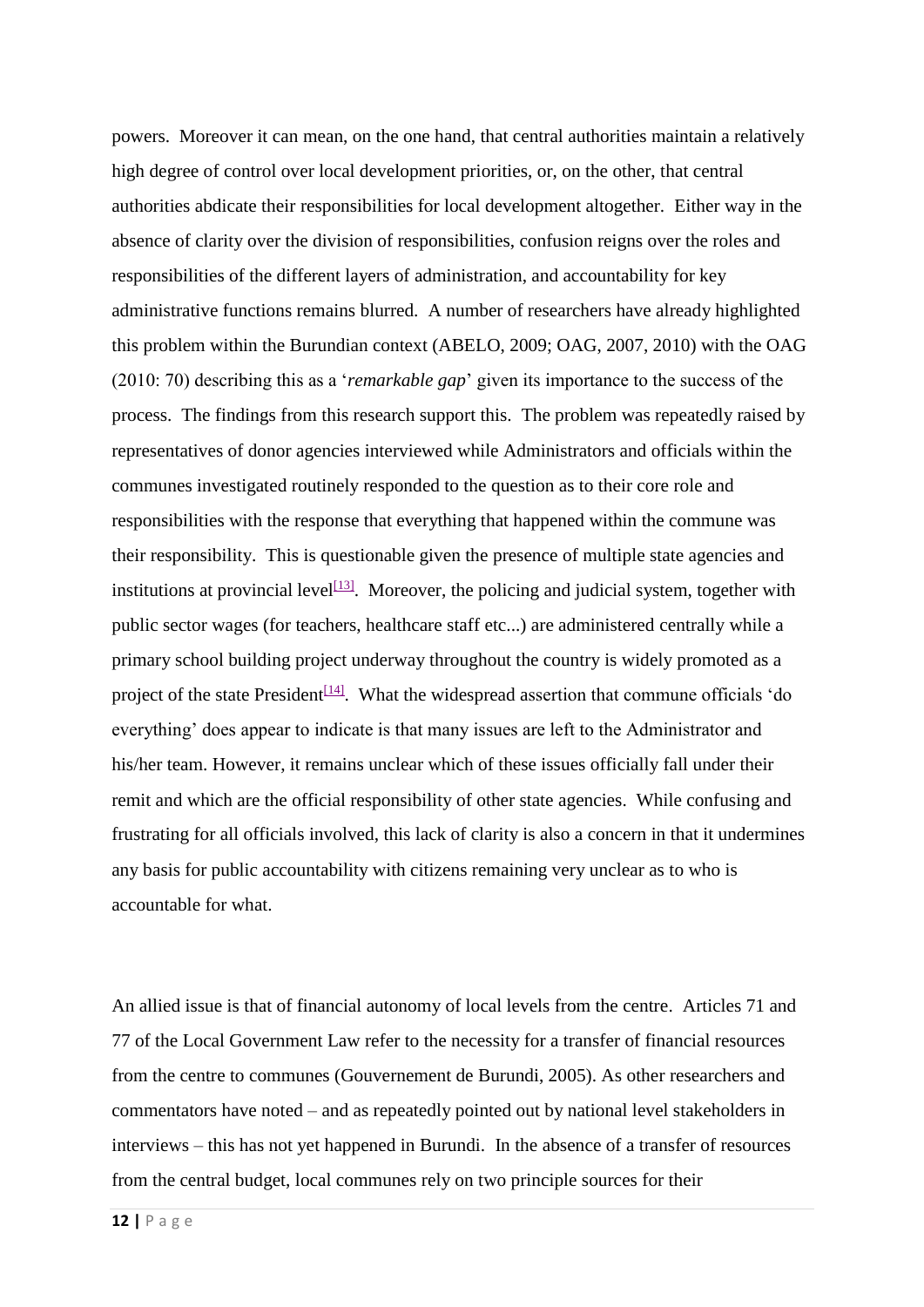powers. Moreover it can mean, on the one hand, that central authorities maintain a relatively high degree of control over local development priorities, or, on the other, that central authorities abdicate their responsibilities for local development altogether. Either way in the absence of clarity over the division of responsibilities, confusion reigns over the roles and responsibilities of the different layers of administration, and accountability for key administrative functions remains blurred. A number of researchers have already highlighted this problem within the Burundian context (ABELO, 2009; OAG, 2007, 2010) with the OAG (2010: 70) describing this as a '*remarkable gap*' given its importance to the success of the process. The findings from this research support this. The problem was repeatedly raised by representatives of donor agencies interviewed while Administrators and officials within the communes investigated routinely responded to the question as to their core role and responsibilities with the response that everything that happened within the commune was their responsibility. This is questionable given the presence of multiple state agencies and institutions at provincial level $\left[\frac{13}{3}\right]$ . Moreover, the policing and judicial system, together with public sector wages (for teachers, healthcare staff etc...) are administered centrally while a primary school building project underway throughout the country is widely promoted as a project of the state President<sup>[\[14\]](http://mc.manuscriptcentral.com/LongRequest/dpr?TAG_ACTION=DOWNLOAD_FILE_BY_NAME&DOCUMENT_ID=12071983&FILE_TO_DOWNLOAD=12071983_File000001_228024029.html-withlinks.htm&FILE_KEY=-1525394432&FILE_NAME_KEY=1498170122&DOWNLOAD=TRUE&FILE_TYPE=DOCUMENT&DOCUMENT_HASHCODE=&SANITY_CHECK_DOCUMENT_ID=&CURRENT_ROLE_ID=28935#_ftn14)</sup>. What the widespread assertion that commune officials 'do everything' does appear to indicate is that many issues are left to the Administrator and his/her team. However, it remains unclear which of these issues officially fall under their remit and which are the official responsibility of other state agencies. While confusing and frustrating for all officials involved, this lack of clarity is also a concern in that it undermines any basis for public accountability with citizens remaining very unclear as to who is accountable for what.

An allied issue is that of financial autonomy of local levels from the centre. Articles 71 and 77 of the Local Government Law refer to the necessity for a transfer of financial resources from the centre to communes (Gouvernement de Burundi, 2005). As other researchers and commentators have noted – and as repeatedly pointed out by national level stakeholders in interviews – this has not yet happened in Burundi. In the absence of a transfer of resources from the central budget, local communes rely on two principle sources for their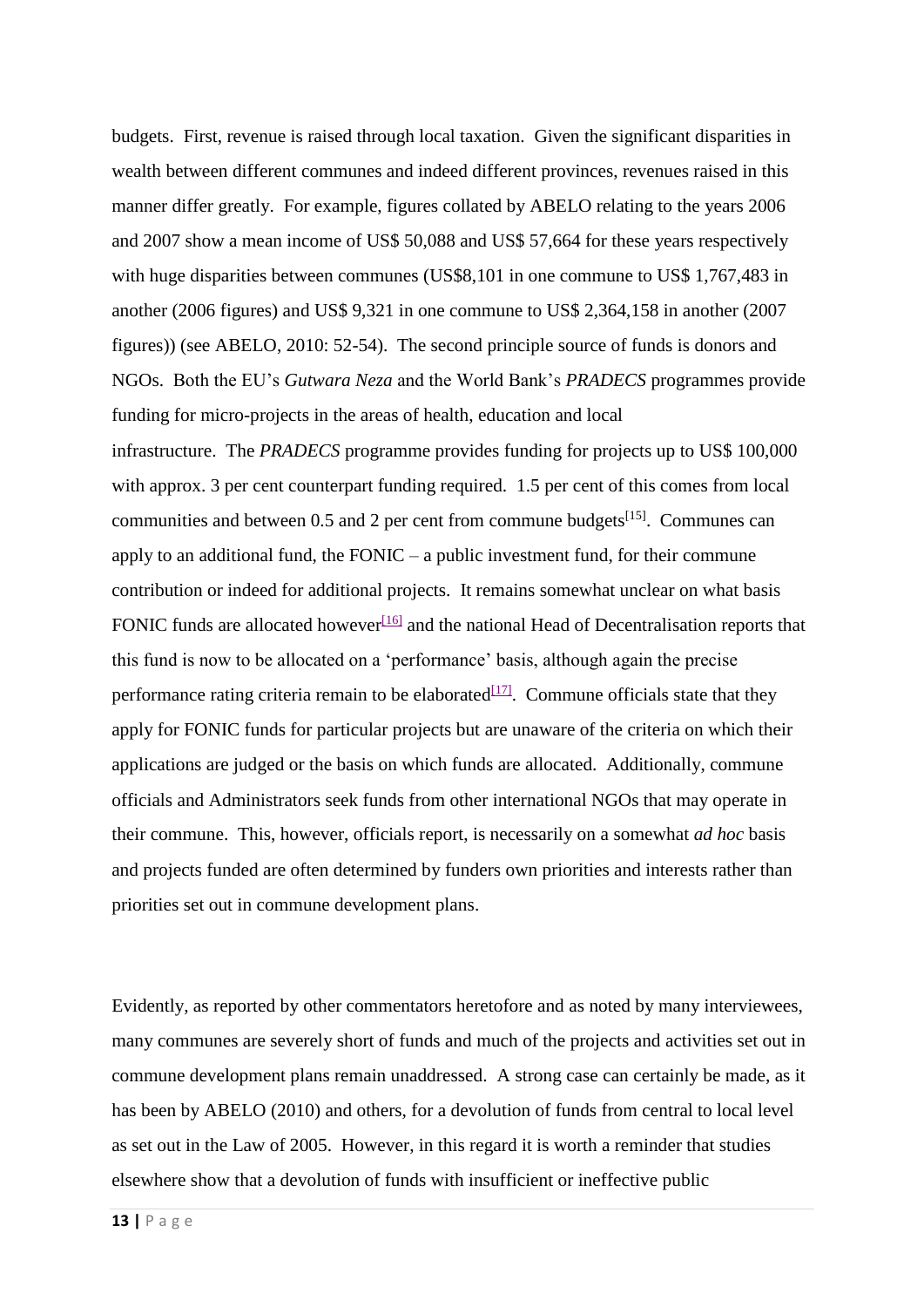budgets. First, revenue is raised through local taxation. Given the significant disparities in wealth between different communes and indeed different provinces, revenues raised in this manner differ greatly. For example, figures collated by ABELO relating to the years 2006 and 2007 show a mean income of US\$ 50,088 and US\$ 57,664 for these years respectively with huge disparities between communes (US\$8,101 in one commune to US\$ 1,767,483 in another (2006 figures) and US\$ 9,321 in one commune to US\$ 2,364,158 in another (2007 figures)) (see ABELO, 2010: 52-54). The second principle source of funds is donors and NGOs. Both the EU's *Gutwara Neza* and the World Bank's *PRADECS* programmes provide funding for micro-projects in the areas of health, education and local infrastructure. The *PRADECS* programme provides funding for projects up to US\$ 100,000 with approx. 3 per cent counterpart funding required. 1.5 per cent of this comes from local communities and between  $0.5$  and  $2$  per cent from commune budgets<sup>[15]</sup>. Communes can apply to an additional fund, the  $FONIC - a$  public investment fund, for their commune contribution or indeed for additional projects. It remains somewhat unclear on what basis FONIC funds are allocated however<sup>[\[16\]](http://mc.manuscriptcentral.com/LongRequest/dpr?TAG_ACTION=DOWNLOAD_FILE_BY_NAME&DOCUMENT_ID=12071983&FILE_TO_DOWNLOAD=12071983_File000001_228024029.html-withlinks.htm&FILE_KEY=-1525394432&FILE_NAME_KEY=1498170122&DOWNLOAD=TRUE&FILE_TYPE=DOCUMENT&DOCUMENT_HASHCODE=&SANITY_CHECK_DOCUMENT_ID=&CURRENT_ROLE_ID=28935#_ftn16)</sup> and the national Head of Decentralisation reports that this fund is now to be allocated on a 'performance' basis, although again the precise performance rating criteria remain to be elaborated $[17]$ . Commune officials state that they apply for FONIC funds for particular projects but are unaware of the criteria on which their applications are judged or the basis on which funds are allocated. Additionally, commune officials and Administrators seek funds from other international NGOs that may operate in their commune. This, however, officials report, is necessarily on a somewhat *ad hoc* basis and projects funded are often determined by funders own priorities and interests rather than priorities set out in commune development plans.

Evidently, as reported by other commentators heretofore and as noted by many interviewees, many communes are severely short of funds and much of the projects and activities set out in commune development plans remain unaddressed. A strong case can certainly be made, as it has been by ABELO (2010) and others, for a devolution of funds from central to local level as set out in the Law of 2005. However, in this regard it is worth a reminder that studies elsewhere show that a devolution of funds with insufficient or ineffective public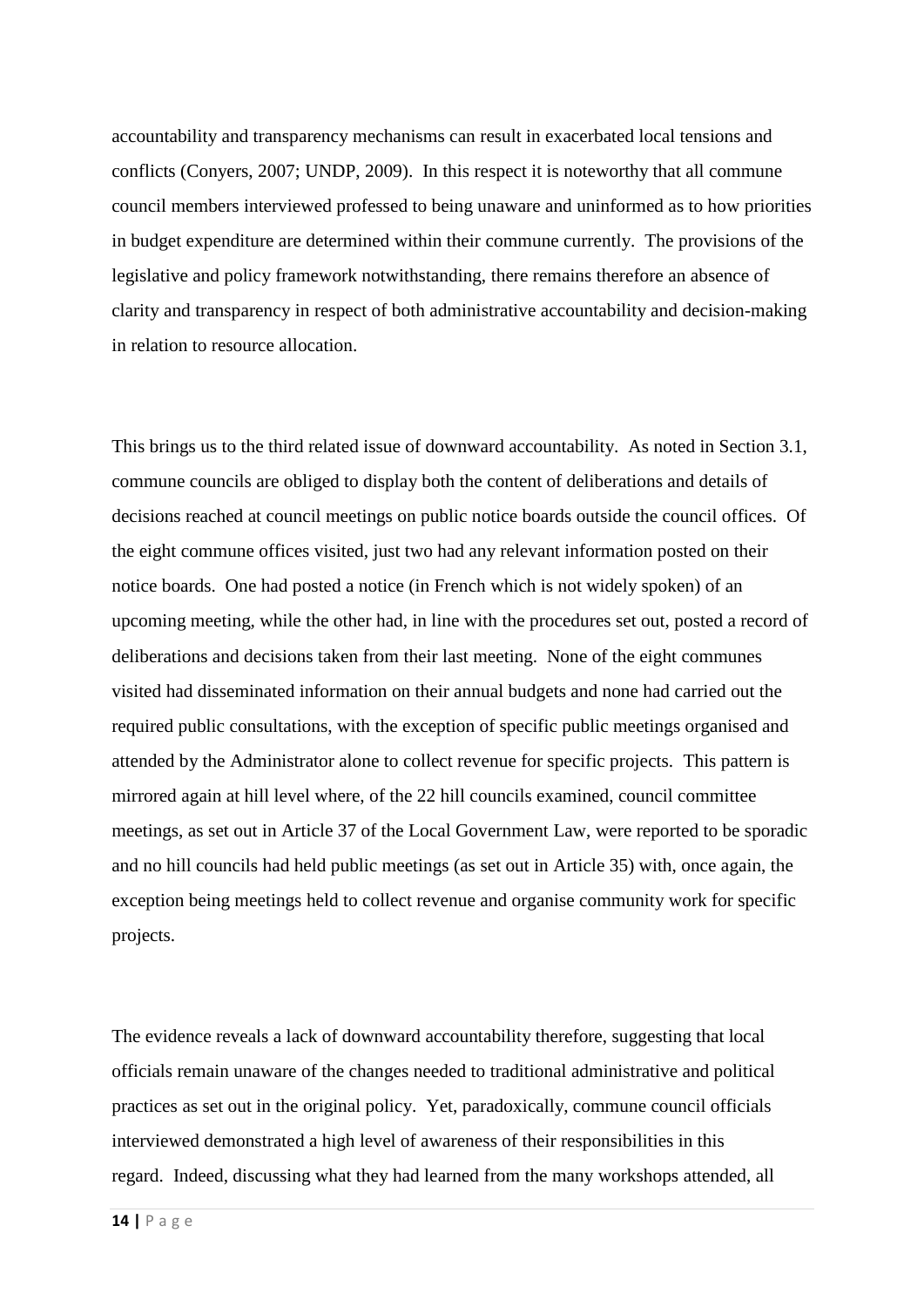accountability and transparency mechanisms can result in exacerbated local tensions and conflicts (Conyers, 2007; UNDP, 2009). In this respect it is noteworthy that all commune council members interviewed professed to being unaware and uninformed as to how priorities in budget expenditure are determined within their commune currently. The provisions of the legislative and policy framework notwithstanding, there remains therefore an absence of clarity and transparency in respect of both administrative accountability and decision-making in relation to resource allocation.

This brings us to the third related issue of downward accountability. As noted in Section 3.1, commune councils are obliged to display both the content of deliberations and details of decisions reached at council meetings on public notice boards outside the council offices. Of the eight commune offices visited, just two had any relevant information posted on their notice boards. One had posted a notice (in French which is not widely spoken) of an upcoming meeting, while the other had, in line with the procedures set out, posted a record of deliberations and decisions taken from their last meeting. None of the eight communes visited had disseminated information on their annual budgets and none had carried out the required public consultations, with the exception of specific public meetings organised and attended by the Administrator alone to collect revenue for specific projects. This pattern is mirrored again at hill level where, of the 22 hill councils examined, council committee meetings, as set out in Article 37 of the Local Government Law, were reported to be sporadic and no hill councils had held public meetings (as set out in Article 35) with, once again, the exception being meetings held to collect revenue and organise community work for specific projects.

The evidence reveals a lack of downward accountability therefore, suggesting that local officials remain unaware of the changes needed to traditional administrative and political practices as set out in the original policy. Yet, paradoxically, commune council officials interviewed demonstrated a high level of awareness of their responsibilities in this regard. Indeed, discussing what they had learned from the many workshops attended, all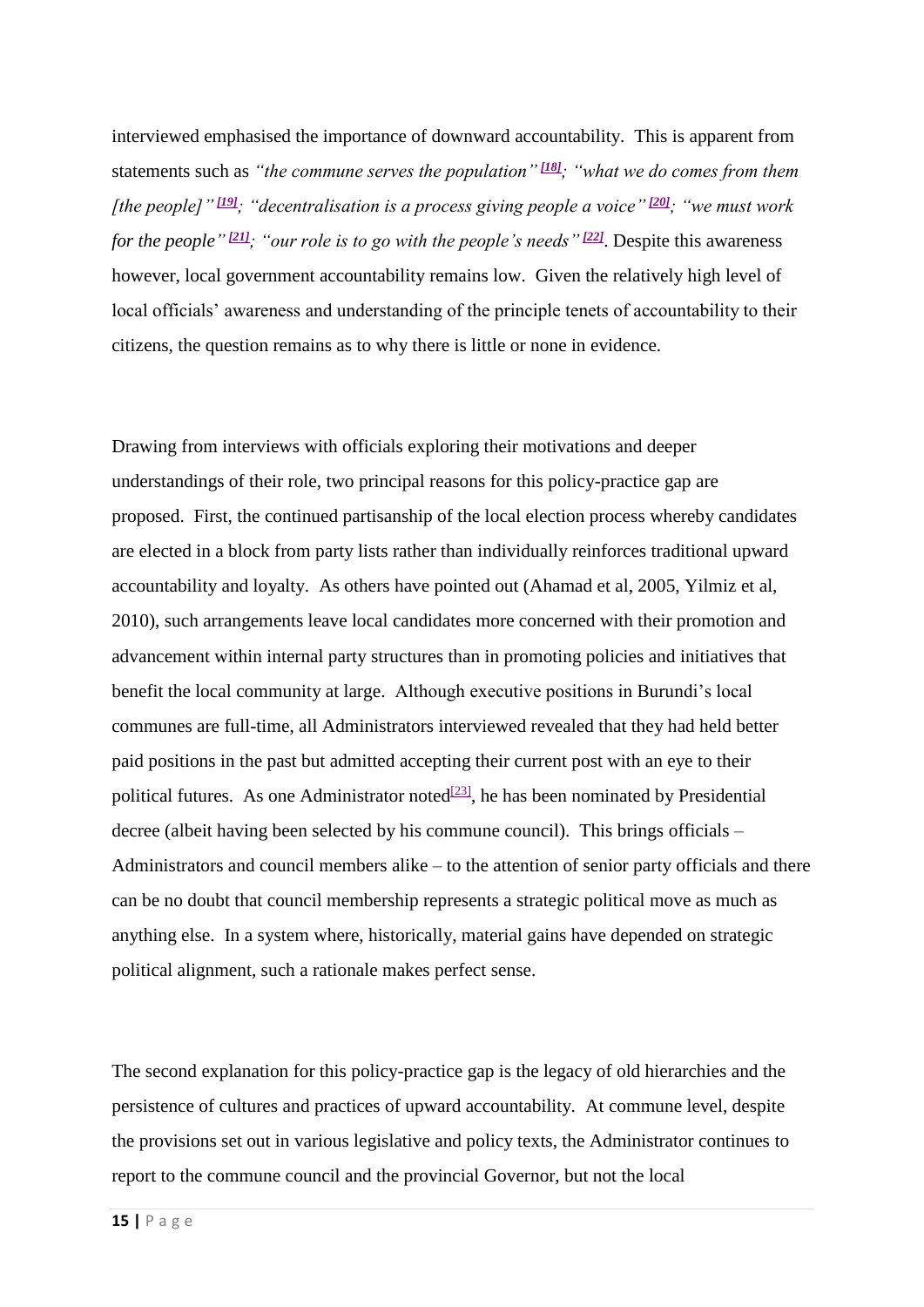interviewed emphasised the importance of downward accountability. This is apparent from statements such as *"the commune serves the population" [\[18\]](http://mc.manuscriptcentral.com/LongRequest/dpr?TAG_ACTION=DOWNLOAD_FILE_BY_NAME&DOCUMENT_ID=12071983&FILE_TO_DOWNLOAD=12071983_File000001_228024029.html-withlinks.htm&FILE_KEY=-1525394432&FILE_NAME_KEY=1498170122&DOWNLOAD=TRUE&FILE_TYPE=DOCUMENT&DOCUMENT_HASHCODE=&SANITY_CHECK_DOCUMENT_ID=&CURRENT_ROLE_ID=28935#_ftn18); "what we do comes from them [the people]" [\[19\]](http://mc.manuscriptcentral.com/LongRequest/dpr?TAG_ACTION=DOWNLOAD_FILE_BY_NAME&DOCUMENT_ID=12071983&FILE_TO_DOWNLOAD=12071983_File000001_228024029.html-withlinks.htm&FILE_KEY=-1525394432&FILE_NAME_KEY=1498170122&DOWNLOAD=TRUE&FILE_TYPE=DOCUMENT&DOCUMENT_HASHCODE=&SANITY_CHECK_DOCUMENT_ID=&CURRENT_ROLE_ID=28935#_ftn19); "decentralisation is a process giving people a voice" [\[20\]](http://mc.manuscriptcentral.com/LongRequest/dpr?TAG_ACTION=DOWNLOAD_FILE_BY_NAME&DOCUMENT_ID=12071983&FILE_TO_DOWNLOAD=12071983_File000001_228024029.html-withlinks.htm&FILE_KEY=-1525394432&FILE_NAME_KEY=1498170122&DOWNLOAD=TRUE&FILE_TYPE=DOCUMENT&DOCUMENT_HASHCODE=&SANITY_CHECK_DOCUMENT_ID=&CURRENT_ROLE_ID=28935#_ftn20); "we must work for the people" [\[21\]](http://mc.manuscriptcentral.com/LongRequest/dpr?TAG_ACTION=DOWNLOAD_FILE_BY_NAME&DOCUMENT_ID=12071983&FILE_TO_DOWNLOAD=12071983_File000001_228024029.html-withlinks.htm&FILE_KEY=-1525394432&FILE_NAME_KEY=1498170122&DOWNLOAD=TRUE&FILE_TYPE=DOCUMENT&DOCUMENT_HASHCODE=&SANITY_CHECK_DOCUMENT_ID=&CURRENT_ROLE_ID=28935#_ftn21); "our role is to go with the people's needs" [\[22\]](http://mc.manuscriptcentral.com/LongRequest/dpr?TAG_ACTION=DOWNLOAD_FILE_BY_NAME&DOCUMENT_ID=12071983&FILE_TO_DOWNLOAD=12071983_File000001_228024029.html-withlinks.htm&FILE_KEY=-1525394432&FILE_NAME_KEY=1498170122&DOWNLOAD=TRUE&FILE_TYPE=DOCUMENT&DOCUMENT_HASHCODE=&SANITY_CHECK_DOCUMENT_ID=&CURRENT_ROLE_ID=28935#_ftn22)*. Despite this awareness however, local government accountability remains low. Given the relatively high level of local officials' awareness and understanding of the principle tenets of accountability to their citizens, the question remains as to why there is little or none in evidence.

Drawing from interviews with officials exploring their motivations and deeper understandings of their role, two principal reasons for this policy-practice gap are proposed. First, the continued partisanship of the local election process whereby candidates are elected in a block from party lists rather than individually reinforces traditional upward accountability and loyalty. As others have pointed out (Ahamad et al, 2005, Yilmiz et al, 2010), such arrangements leave local candidates more concerned with their promotion and advancement within internal party structures than in promoting policies and initiatives that benefit the local community at large. Although executive positions in Burundi's local communes are full-time, all Administrators interviewed revealed that they had held better paid positions in the past but admitted accepting their current post with an eye to their political futures. As one Administrator noted<sup>[\[23\]](http://mc.manuscriptcentral.com/LongRequest/dpr?TAG_ACTION=DOWNLOAD_FILE_BY_NAME&DOCUMENT_ID=12071983&FILE_TO_DOWNLOAD=12071983_File000001_228024029.html-withlinks.htm&FILE_KEY=-1525394432&FILE_NAME_KEY=1498170122&DOWNLOAD=TRUE&FILE_TYPE=DOCUMENT&DOCUMENT_HASHCODE=&SANITY_CHECK_DOCUMENT_ID=&CURRENT_ROLE_ID=28935#_ftn23)</sup>, he has been nominated by Presidential decree (albeit having been selected by his commune council). This brings officials – Administrators and council members alike – to the attention of senior party officials and there can be no doubt that council membership represents a strategic political move as much as anything else. In a system where, historically, material gains have depended on strategic political alignment, such a rationale makes perfect sense.

The second explanation for this policy-practice gap is the legacy of old hierarchies and the persistence of cultures and practices of upward accountability. At commune level, despite the provisions set out in various legislative and policy texts, the Administrator continues to report to the commune council and the provincial Governor, but not the local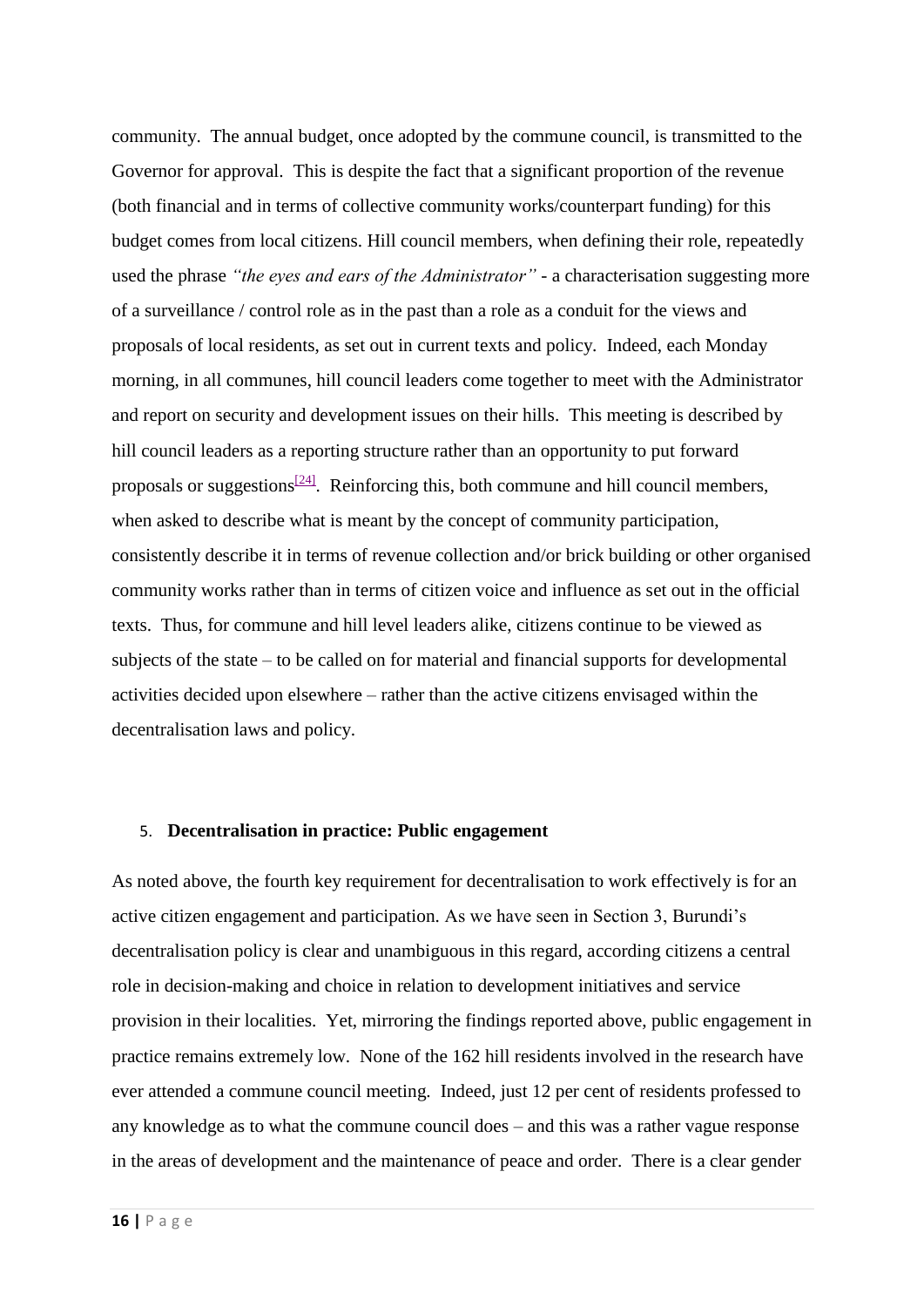community. The annual budget, once adopted by the commune council, is transmitted to the Governor for approval. This is despite the fact that a significant proportion of the revenue (both financial and in terms of collective community works/counterpart funding) for this budget comes from local citizens. Hill council members, when defining their role, repeatedly used the phrase *"the eyes and ears of the Administrator" -* a characterisation suggesting more of a surveillance / control role as in the past than a role as a conduit for the views and proposals of local residents, as set out in current texts and policy. Indeed, each Monday morning, in all communes, hill council leaders come together to meet with the Administrator and report on security and development issues on their hills. This meeting is described by hill council leaders as a reporting structure rather than an opportunity to put forward proposals or suggestions $^{[24]}$  $^{[24]}$  $^{[24]}$ . Reinforcing this, both commune and hill council members, when asked to describe what is meant by the concept of community participation, consistently describe it in terms of revenue collection and/or brick building or other organised community works rather than in terms of citizen voice and influence as set out in the official texts. Thus, for commune and hill level leaders alike, citizens continue to be viewed as subjects of the state – to be called on for material and financial supports for developmental activities decided upon elsewhere – rather than the active citizens envisaged within the decentralisation laws and policy.

#### 5. **Decentralisation in practice: Public engagement**

As noted above, the fourth key requirement for decentralisation to work effectively is for an active citizen engagement and participation. As we have seen in Section 3, Burundi's decentralisation policy is clear and unambiguous in this regard, according citizens a central role in decision-making and choice in relation to development initiatives and service provision in their localities. Yet, mirroring the findings reported above, public engagement in practice remains extremely low. None of the 162 hill residents involved in the research have ever attended a commune council meeting. Indeed, just 12 per cent of residents professed to any knowledge as to what the commune council does – and this was a rather vague response in the areas of development and the maintenance of peace and order. There is a clear gender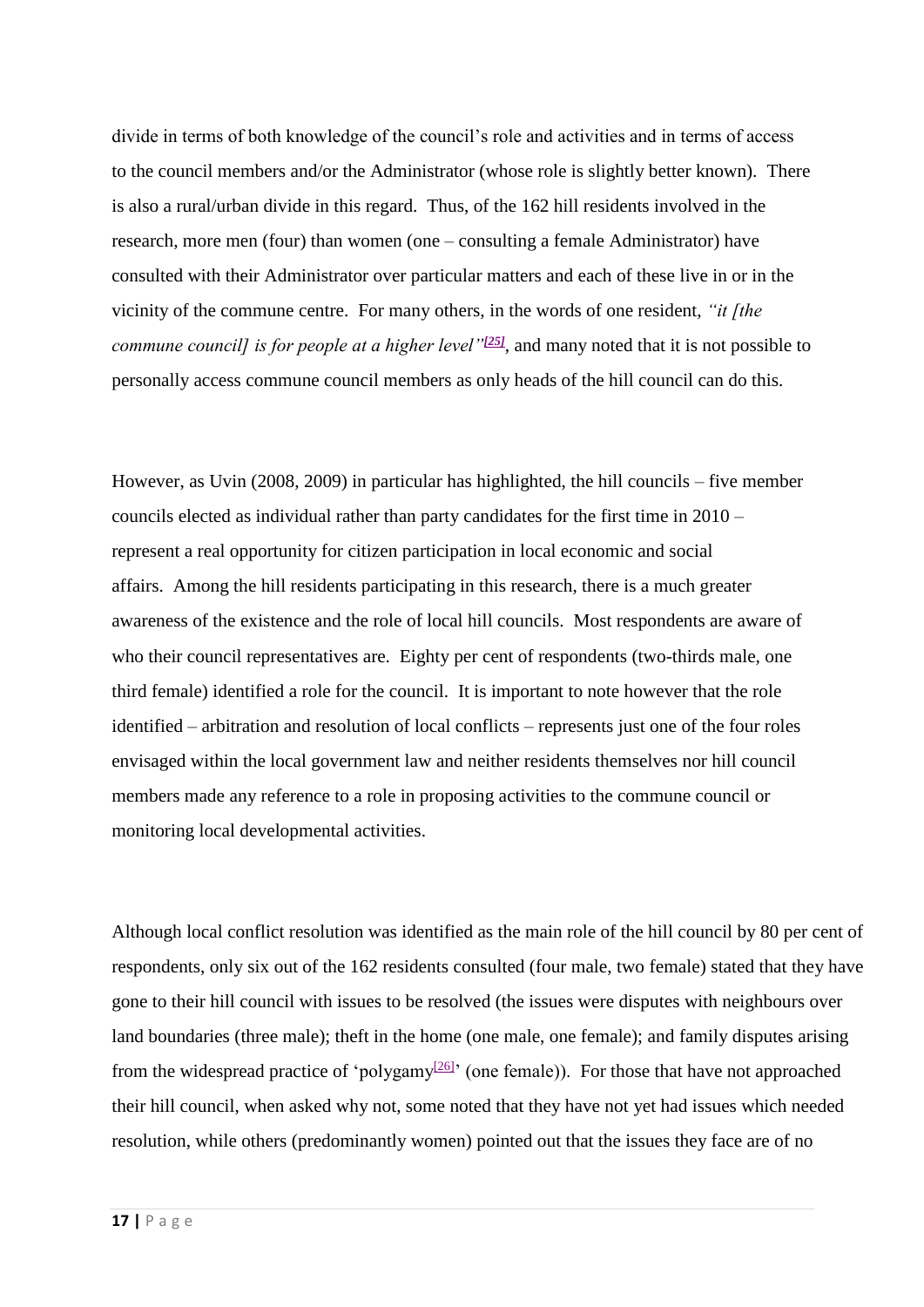divide in terms of both knowledge of the council's role and activities and in terms of access to the council members and/or the Administrator (whose role is slightly better known). There is also a rural/urban divide in this regard. Thus, of the 162 hill residents involved in the research, more men (four) than women (one – consulting a female Administrator) have consulted with their Administrator over particular matters and each of these live in or in the vicinity of the commune centre. For many others, in the words of one resident, *"it [the commune council] is for people at a higher level"[\[25\]](http://mc.manuscriptcentral.com/LongRequest/dpr?TAG_ACTION=DOWNLOAD_FILE_BY_NAME&DOCUMENT_ID=12071983&FILE_TO_DOWNLOAD=12071983_File000001_228024029.html-withlinks.htm&FILE_KEY=-1525394432&FILE_NAME_KEY=1498170122&DOWNLOAD=TRUE&FILE_TYPE=DOCUMENT&DOCUMENT_HASHCODE=&SANITY_CHECK_DOCUMENT_ID=&CURRENT_ROLE_ID=28935#_ftn25)*, and many noted that it is not possible to personally access commune council members as only heads of the hill council can do this.

However, as Uvin (2008, 2009) in particular has highlighted, the hill councils – five member councils elected as individual rather than party candidates for the first time in 2010 – represent a real opportunity for citizen participation in local economic and social affairs. Among the hill residents participating in this research, there is a much greater awareness of the existence and the role of local hill councils. Most respondents are aware of who their council representatives are. Eighty per cent of respondents (two-thirds male, one third female) identified a role for the council. It is important to note however that the role identified – arbitration and resolution of local conflicts – represents just one of the four roles envisaged within the local government law and neither residents themselves nor hill council members made any reference to a role in proposing activities to the commune council or monitoring local developmental activities.

Although local conflict resolution was identified as the main role of the hill council by 80 per cent of respondents, only six out of the 162 residents consulted (four male, two female) stated that they have gone to their hill council with issues to be resolved (the issues were disputes with neighbours over land boundaries (three male); theft in the home (one male, one female); and family disputes arising from the widespread practice of 'polygamy<sup>[\[26\]](http://mc.manuscriptcentral.com/LongRequest/dpr?TAG_ACTION=DOWNLOAD_FILE_BY_NAME&DOCUMENT_ID=12071983&FILE_TO_DOWNLOAD=12071983_File000001_228024029.html-withlinks.htm&FILE_KEY=-1525394432&FILE_NAME_KEY=1498170122&DOWNLOAD=TRUE&FILE_TYPE=DOCUMENT&DOCUMENT_HASHCODE=&SANITY_CHECK_DOCUMENT_ID=&CURRENT_ROLE_ID=28935#_ftn26)</sup>' (one female)). For those that have not approached their hill council, when asked why not, some noted that they have not yet had issues which needed resolution, while others (predominantly women) pointed out that the issues they face are of no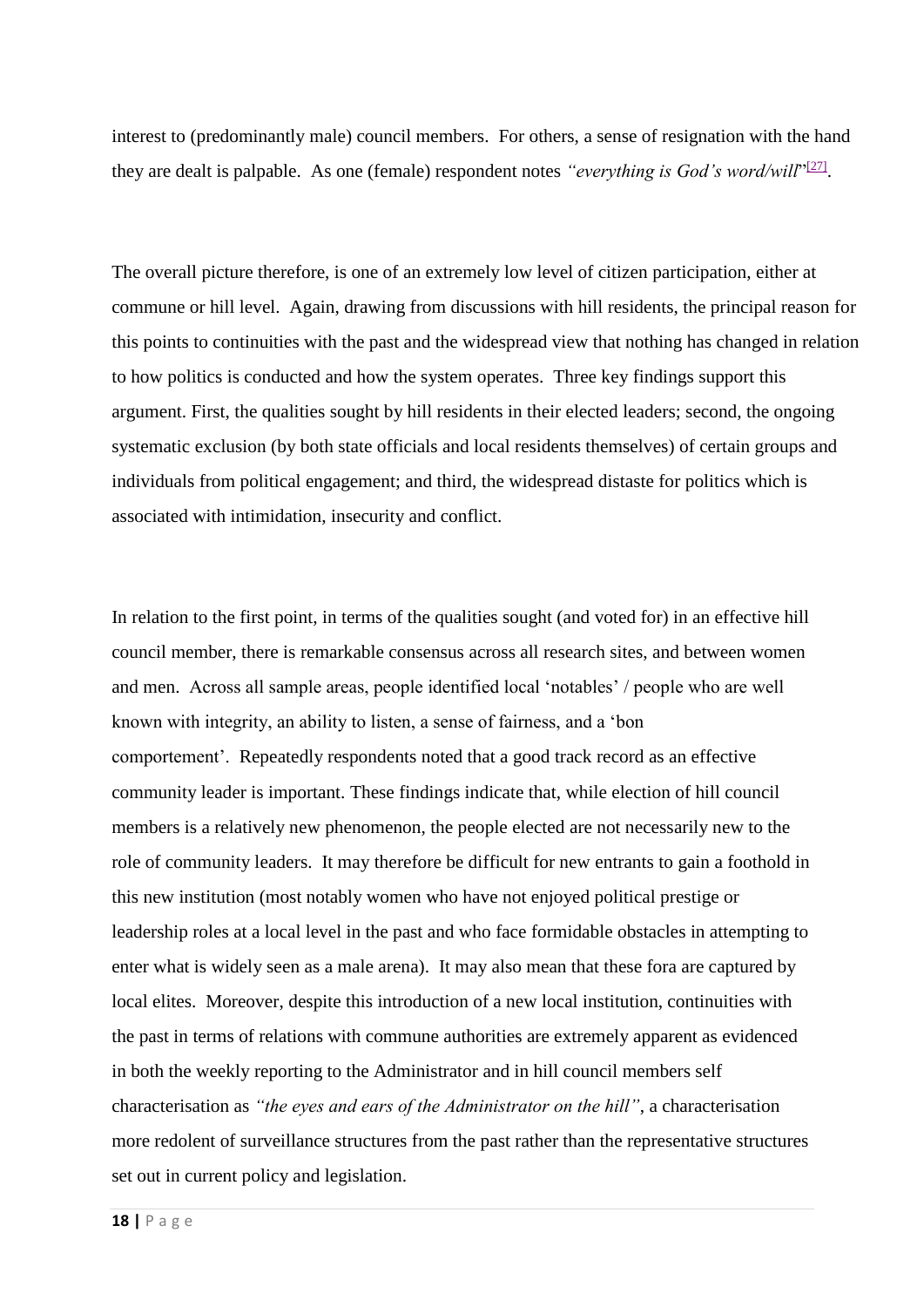interest to (predominantly male) council members. For others, a sense of resignation with the hand they are dealt is palpable. As one (female) respondent notes "everything is God's word/will"<sup>[\[27\]](http://mc.manuscriptcentral.com/LongRequest/dpr?TAG_ACTION=DOWNLOAD_FILE_BY_NAME&DOCUMENT_ID=12071983&FILE_TO_DOWNLOAD=12071983_File000001_228024029.html-withlinks.htm&FILE_KEY=-1525394432&FILE_NAME_KEY=1498170122&DOWNLOAD=TRUE&FILE_TYPE=DOCUMENT&DOCUMENT_HASHCODE=&SANITY_CHECK_DOCUMENT_ID=&CURRENT_ROLE_ID=28935#_ftn27)</sup>.

The overall picture therefore, is one of an extremely low level of citizen participation, either at commune or hill level. Again, drawing from discussions with hill residents, the principal reason for this points to continuities with the past and the widespread view that nothing has changed in relation to how politics is conducted and how the system operates. Three key findings support this argument. First, the qualities sought by hill residents in their elected leaders; second, the ongoing systematic exclusion (by both state officials and local residents themselves) of certain groups and individuals from political engagement; and third, the widespread distaste for politics which is associated with intimidation, insecurity and conflict.

In relation to the first point, in terms of the qualities sought (and voted for) in an effective hill council member, there is remarkable consensus across all research sites, and between women and men. Across all sample areas, people identified local 'notables' / people who are well known with integrity, an ability to listen, a sense of fairness, and a 'bon comportement'. Repeatedly respondents noted that a good track record as an effective community leader is important. These findings indicate that, while election of hill council members is a relatively new phenomenon, the people elected are not necessarily new to the role of community leaders. It may therefore be difficult for new entrants to gain a foothold in this new institution (most notably women who have not enjoyed political prestige or leadership roles at a local level in the past and who face formidable obstacles in attempting to enter what is widely seen as a male arena). It may also mean that these fora are captured by local elites. Moreover, despite this introduction of a new local institution, continuities with the past in terms of relations with commune authorities are extremely apparent as evidenced in both the weekly reporting to the Administrator and in hill council members self characterisation as *"the eyes and ears of the Administrator on the hill"*, a characterisation more redolent of surveillance structures from the past rather than the representative structures set out in current policy and legislation.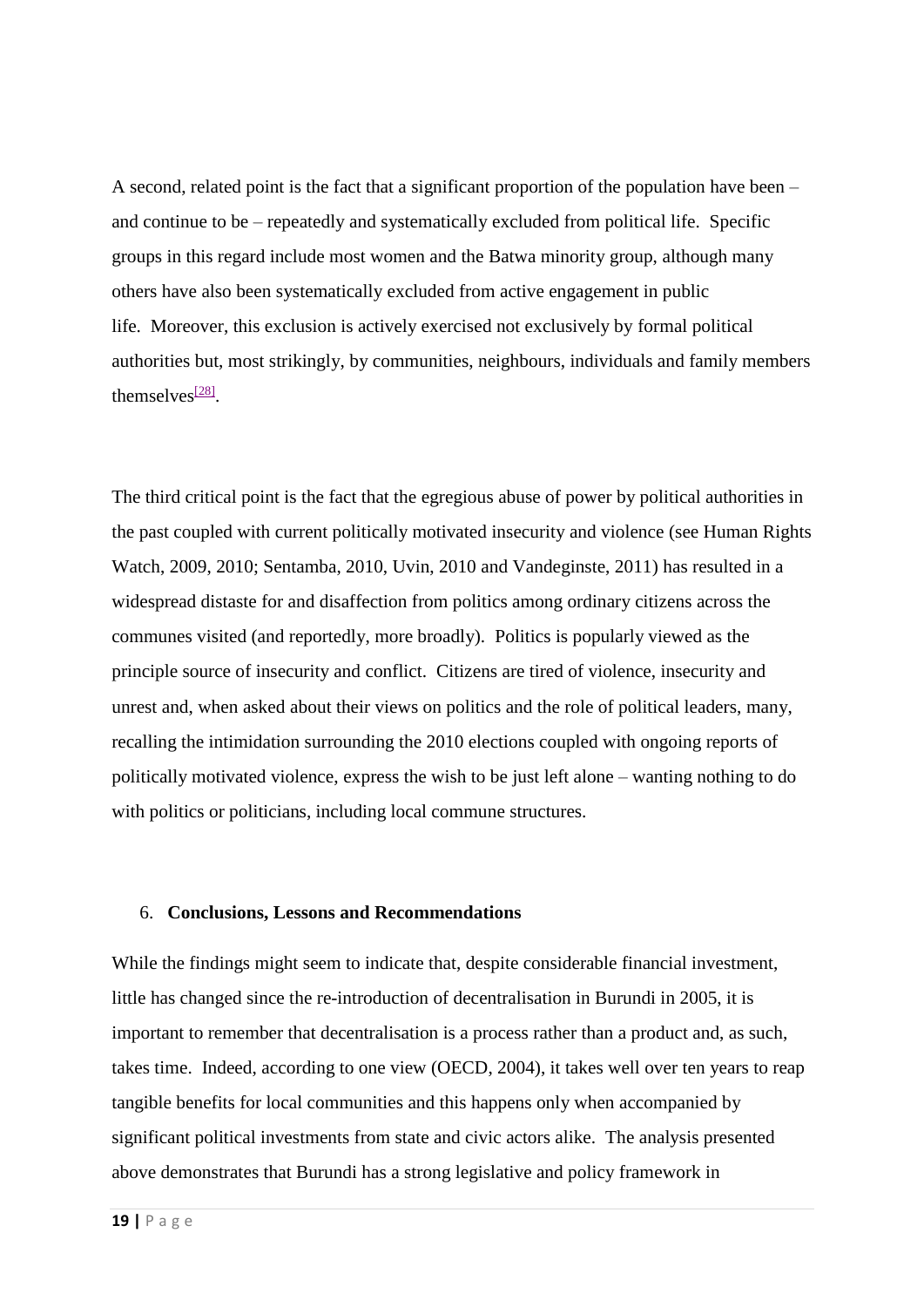A second, related point is the fact that a significant proportion of the population have been – and continue to be – repeatedly and systematically excluded from political life. Specific groups in this regard include most women and the Batwa minority group, although many others have also been systematically excluded from active engagement in public life. Moreover, this exclusion is actively exercised not exclusively by formal political authorities but, most strikingly, by communities, neighbours, individuals and family members themselves $^{[28]}$  $^{[28]}$  $^{[28]}$ .

The third critical point is the fact that the egregious abuse of power by political authorities in the past coupled with current politically motivated insecurity and violence (see Human Rights Watch, 2009, 2010; Sentamba, 2010, Uvin, 2010 and Vandeginste, 2011) has resulted in a widespread distaste for and disaffection from politics among ordinary citizens across the communes visited (and reportedly, more broadly). Politics is popularly viewed as the principle source of insecurity and conflict. Citizens are tired of violence, insecurity and unrest and, when asked about their views on politics and the role of political leaders, many, recalling the intimidation surrounding the 2010 elections coupled with ongoing reports of politically motivated violence, express the wish to be just left alone – wanting nothing to do with politics or politicians, including local commune structures.

#### 6. **Conclusions, Lessons and Recommendations**

While the findings might seem to indicate that, despite considerable financial investment, little has changed since the re-introduction of decentralisation in Burundi in 2005, it is important to remember that decentralisation is a process rather than a product and, as such, takes time. Indeed, according to one view (OECD, 2004), it takes well over ten years to reap tangible benefits for local communities and this happens only when accompanied by significant political investments from state and civic actors alike. The analysis presented above demonstrates that Burundi has a strong legislative and policy framework in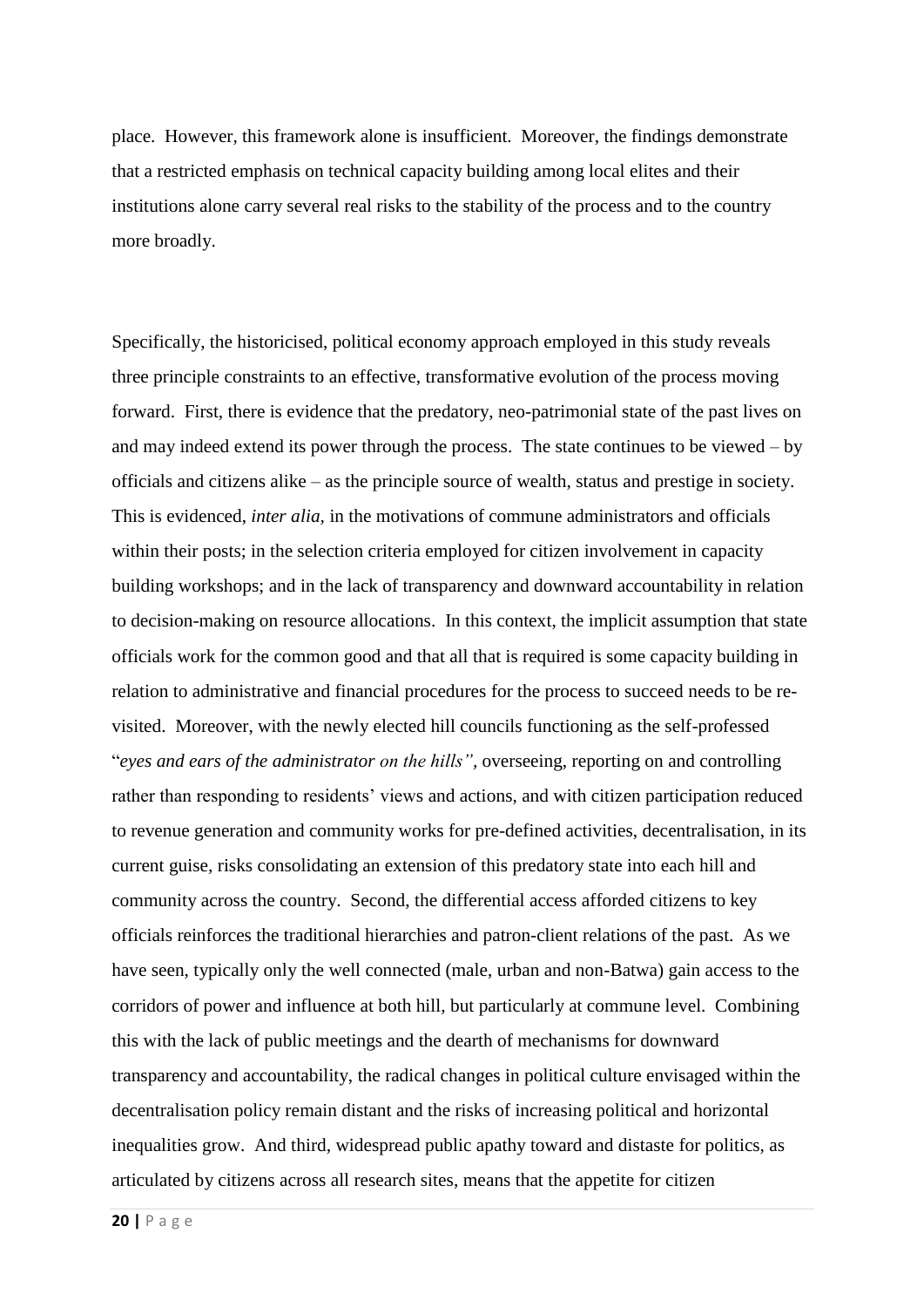place. However, this framework alone is insufficient. Moreover, the findings demonstrate that a restricted emphasis on technical capacity building among local elites and their institutions alone carry several real risks to the stability of the process and to the country more broadly.

Specifically, the historicised, political economy approach employed in this study reveals three principle constraints to an effective, transformative evolution of the process moving forward. First, there is evidence that the predatory, neo-patrimonial state of the past lives on and may indeed extend its power through the process. The state continues to be viewed – by officials and citizens alike – as the principle source of wealth, status and prestige in society. This is evidenced, *inter alia,* in the motivations of commune administrators and officials within their posts; in the selection criteria employed for citizen involvement in capacity building workshops; and in the lack of transparency and downward accountability in relation to decision-making on resource allocations. In this context, the implicit assumption that state officials work for the common good and that all that is required is some capacity building in relation to administrative and financial procedures for the process to succeed needs to be revisited. Moreover, with the newly elected hill councils functioning as the self-professed "*eyes and ears of the administrator on the hills",* overseeing, reporting on and controlling rather than responding to residents' views and actions, and with citizen participation reduced to revenue generation and community works for pre-defined activities, decentralisation, in its current guise, risks consolidating an extension of this predatory state into each hill and community across the country. Second, the differential access afforded citizens to key officials reinforces the traditional hierarchies and patron-client relations of the past. As we have seen, typically only the well connected (male, urban and non-Batwa) gain access to the corridors of power and influence at both hill, but particularly at commune level. Combining this with the lack of public meetings and the dearth of mechanisms for downward transparency and accountability, the radical changes in political culture envisaged within the decentralisation policy remain distant and the risks of increasing political and horizontal inequalities grow. And third, widespread public apathy toward and distaste for politics, as articulated by citizens across all research sites, means that the appetite for citizen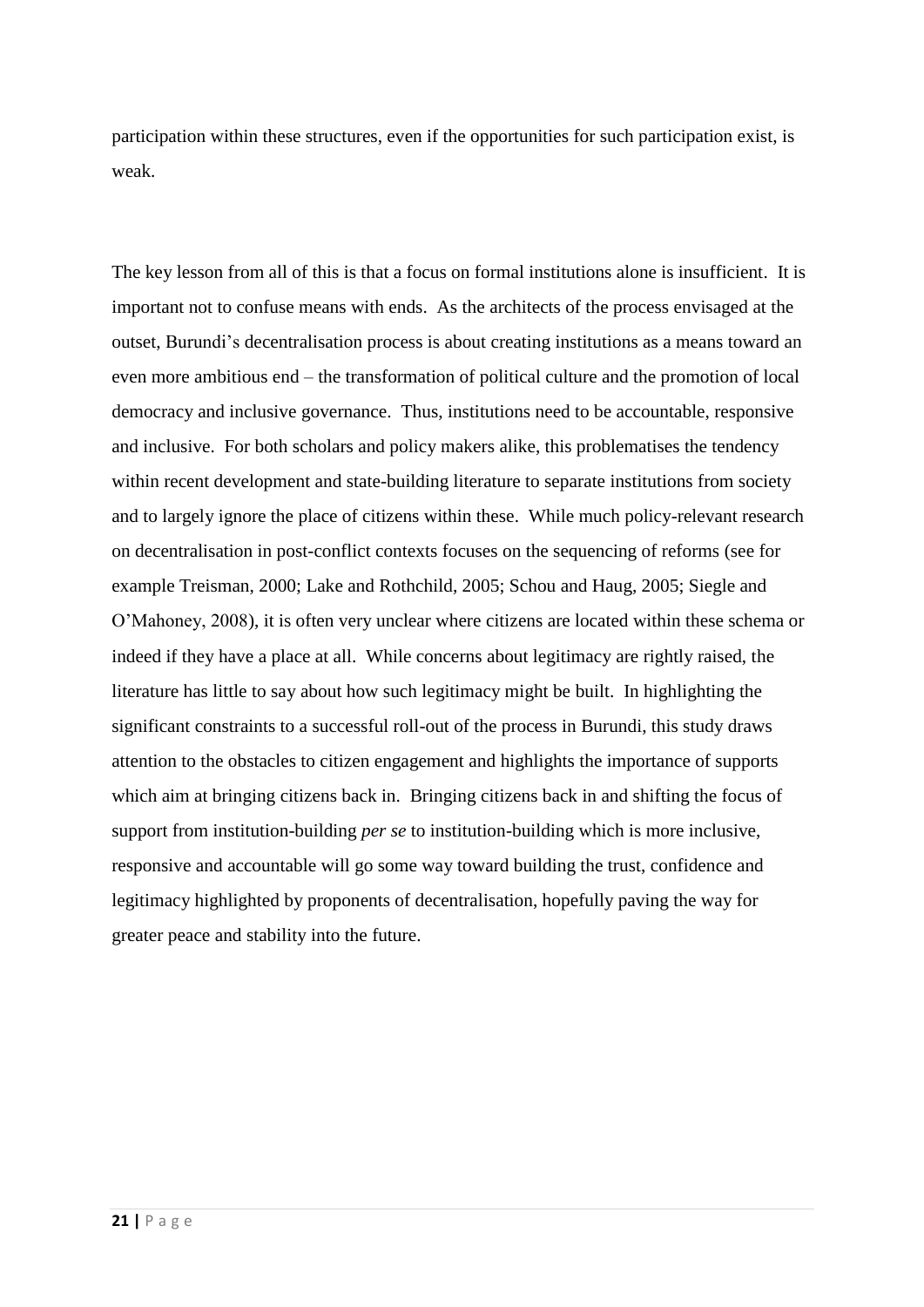participation within these structures, even if the opportunities for such participation exist, is weak.

The key lesson from all of this is that a focus on formal institutions alone is insufficient. It is important not to confuse means with ends. As the architects of the process envisaged at the outset, Burundi's decentralisation process is about creating institutions as a means toward an even more ambitious end – the transformation of political culture and the promotion of local democracy and inclusive governance. Thus, institutions need to be accountable, responsive and inclusive. For both scholars and policy makers alike, this problematises the tendency within recent development and state-building literature to separate institutions from society and to largely ignore the place of citizens within these. While much policy-relevant research on decentralisation in post-conflict contexts focuses on the sequencing of reforms (see for example Treisman, 2000; Lake and Rothchild, 2005; Schou and Haug, 2005; Siegle and O'Mahoney, 2008), it is often very unclear where citizens are located within these schema or indeed if they have a place at all. While concerns about legitimacy are rightly raised, the literature has little to say about how such legitimacy might be built. In highlighting the significant constraints to a successful roll-out of the process in Burundi, this study draws attention to the obstacles to citizen engagement and highlights the importance of supports which aim at bringing citizens back in. Bringing citizens back in and shifting the focus of support from institution-building *per se* to institution-building which is more inclusive, responsive and accountable will go some way toward building the trust, confidence and legitimacy highlighted by proponents of decentralisation, hopefully paving the way for greater peace and stability into the future.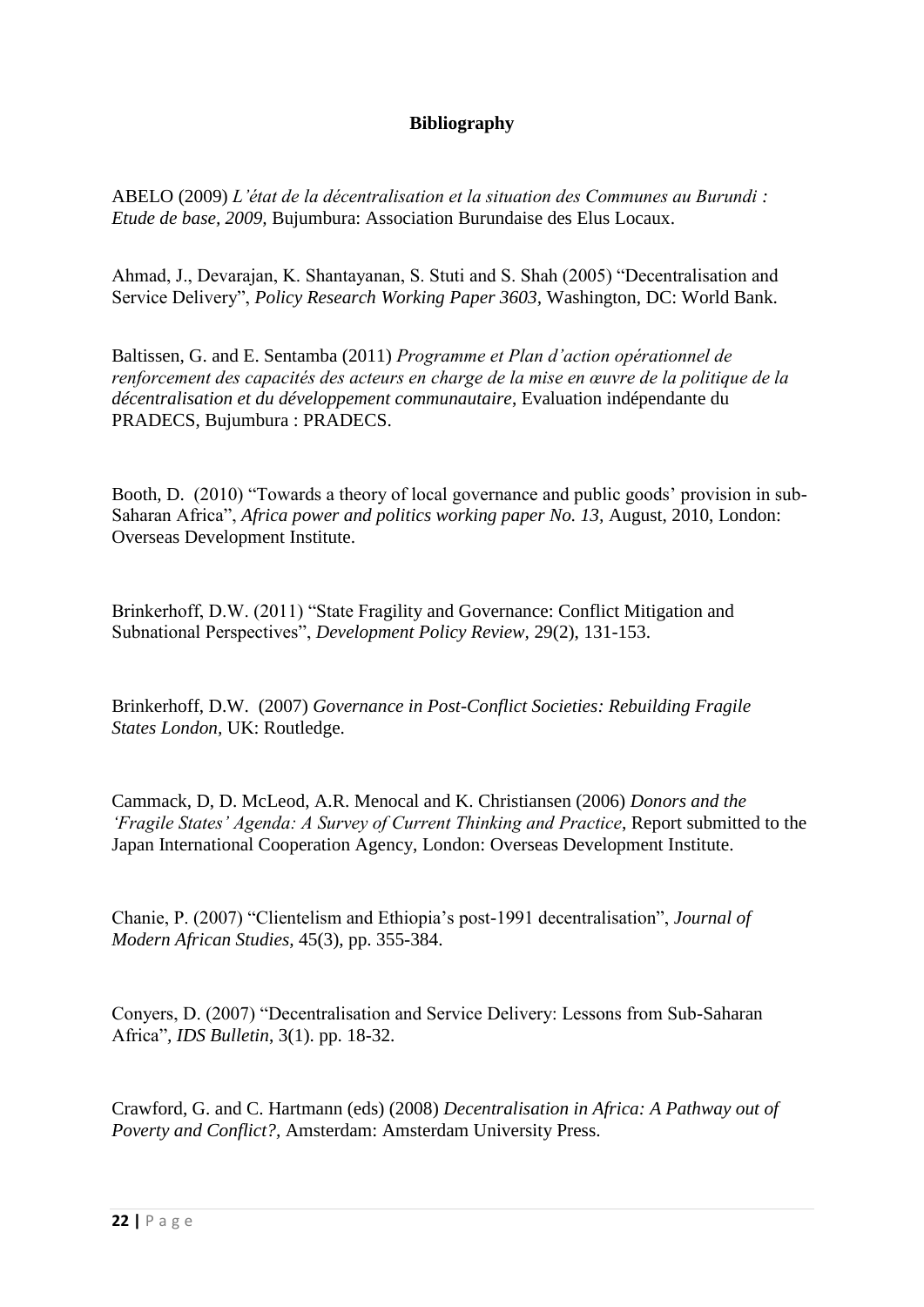## **Bibliography**

ABELO (2009) *L'état de la décentralisation et la situation des Communes au Burundi : Etude de base, 2009,* Bujumbura: Association Burundaise des Elus Locaux.

Ahmad, J., Devarajan, K. Shantayanan, S. Stuti and S. Shah (2005) "Decentralisation and Service Delivery", *Policy Research Working Paper 3603,* Washington, DC: World Bank.

Baltissen, G. and E. Sentamba (2011) *Programme et Plan d'action opérationnel de renforcement des capacités des acteurs en charge de la mise en œuvre de la politique de la décentralisation et du développement communautaire*, Evaluation indépendante du PRADECS, Bujumbura : PRADECS.

Booth, D. (2010) "Towards a theory of local governance and public goods' provision in sub-Saharan Africa", *Africa power and politics working paper No. 13,* August, 2010, London: Overseas Development Institute.

Brinkerhoff, D.W. (2011) "State Fragility and Governance: Conflict Mitigation and Subnational Perspectives", *Development Policy Review,* 29(2), 131-153.

Brinkerhoff, D.W. (2007) *[Governance in Post-Conflict Societies: Rebuilding Fragile](http://www.rti.org/publications/abstract.cfm?pubid=8192)  [States](http://www.rti.org/publications/abstract.cfm?pubid=8192) London,* UK: Routledge.

Cammack, D, D. McLeod, A.R. Menocal and K. Christiansen (2006) *Donors and the 'Fragile States' Agenda: A Survey of Current Thinking and Practice*, Report submitted to the Japan International Cooperation Agency, London: Overseas Development Institute.

Chanie, P. (2007) "Clientelism and Ethiopia's post-1991 decentralisation", *Journal of Modern African Studies,* 45(3), pp. 355-384.

Conyers, D. (2007) "Decentralisation and Service Delivery: Lessons from Sub-Saharan Africa"*, IDS Bulletin*, 3(1). pp. 18-32.

Crawford, G. and C. Hartmann (eds) (2008) *Decentralisation in Africa: A Pathway out of Poverty and Conflict?,* Amsterdam: Amsterdam University Press.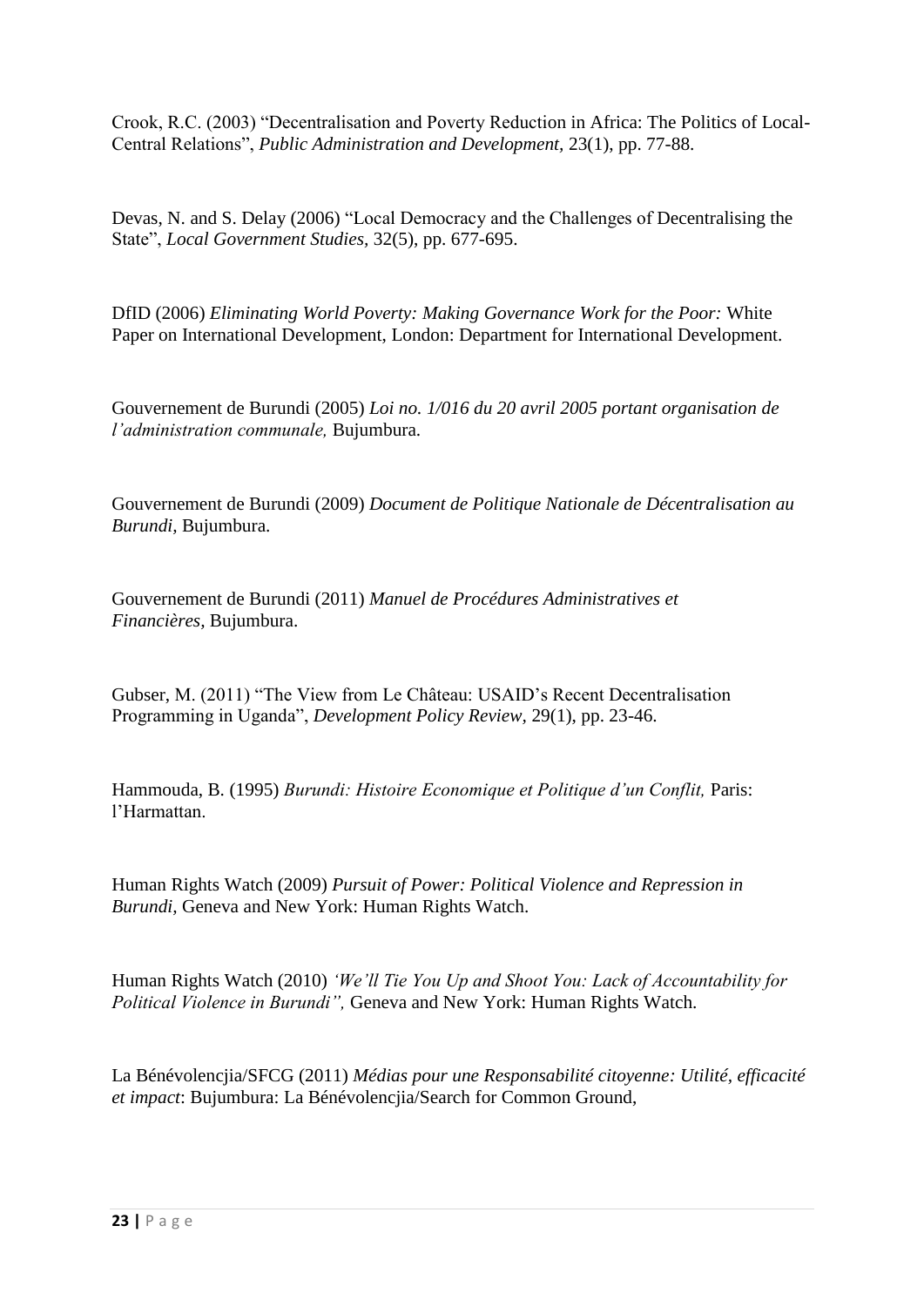Crook, R.C. (2003) "Decentralisation and Poverty Reduction in Africa: The Politics of Local-Central Relations", *Public Administration and Development,* 23(1), pp. 77-88.

Devas, N. and S. Delay (2006) "Local Democracy and the Challenges of Decentralising the State", *Local Government Studies,* 32(5), pp. 677-695.

DfID (2006) *Eliminating World Poverty: Making Governance Work for the Poor:* White Paper on International Development, London: Department for International Development.

Gouvernement de Burundi (2005) *Loi no. 1/016 du 20 avril 2005 portant organisation de l'administration communale,* Bujumbura.

Gouvernement de Burundi (2009) *Document de Politique Nationale de Décentralisation au Burundi,* Bujumbura.

Gouvernement de Burundi (2011) *Manuel de Procédures Administratives et Financières,* Bujumbura.

Gubser, M. (2011) "The View from Le Château: USAID's Recent Decentralisation Programming in Uganda", *Development Policy Review,* 29(1), pp. 23-46.

Hammouda, B. (1995) *Burundi: Histoire Economique et Politique d'un Conflit,* Paris: l'Harmattan.

Human Rights Watch (2009) *Pursuit of Power: Political Violence and Repression in Burundi,* Geneva and New York: Human Rights Watch.

Human Rights Watch (2010) *'We'll Tie You Up and Shoot You: Lack of Accountability for Political Violence in Burundi",* Geneva and New York: Human Rights Watch.

La Bénévolencjia/SFCG (2011) *Médias pour une Responsabilité citoyenne: Utilité, efficacité et impact*: Bujumbura: La Bénévolencjia/Search for Common Ground,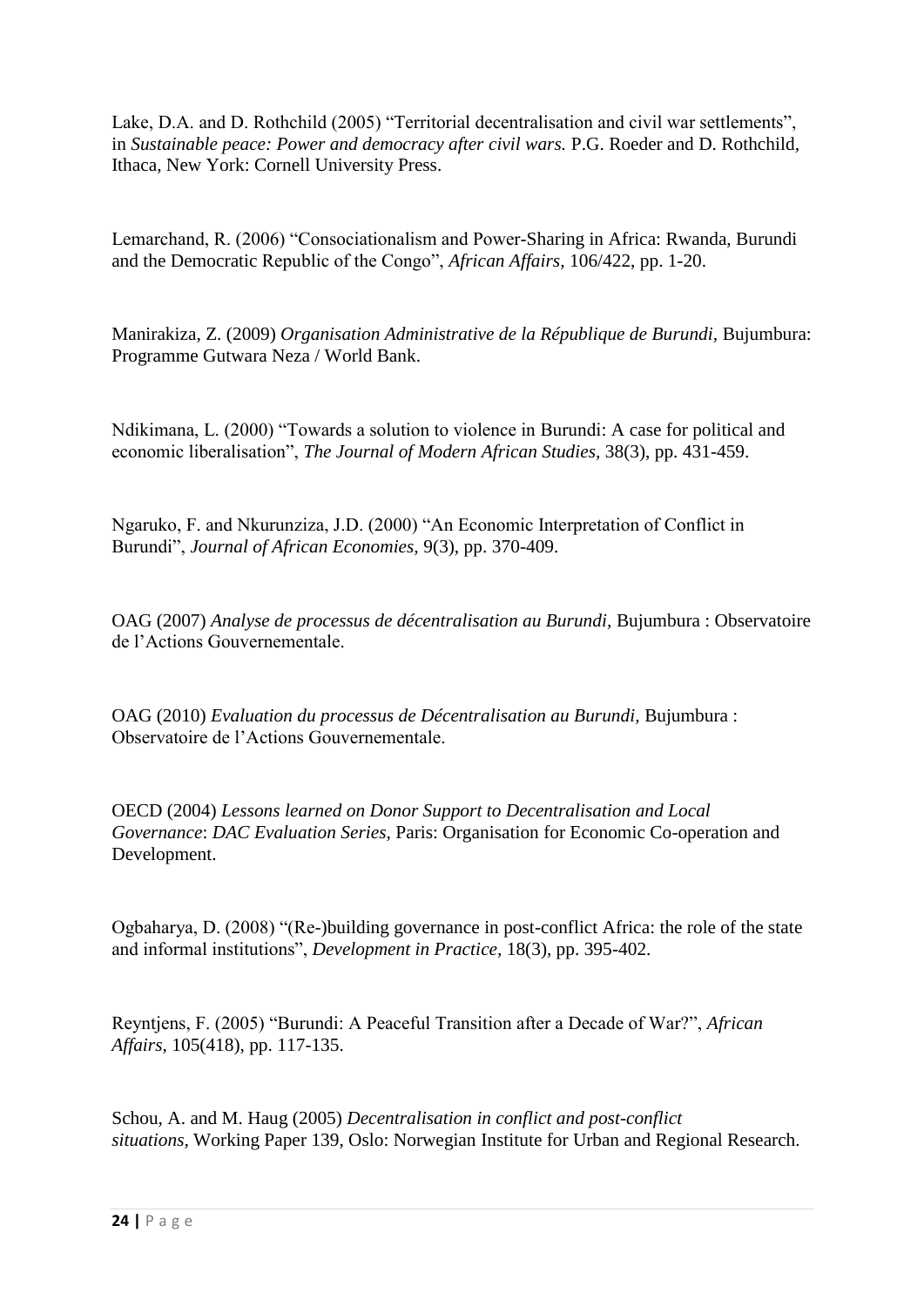Lake, D.A. and D. Rothchild (2005) "Territorial decentralisation and civil war settlements", in *Sustainable peace: Power and democracy after civil wars.* P.G. Roeder and D. Rothchild, Ithaca, New York: Cornell University Press.

Lemarchand, R. (2006) "Consociationalism and Power-Sharing in Africa: Rwanda, Burundi and the Democratic Republic of the Congo", *African Affairs,* 106/422, pp. 1-20.

Manirakiza, Z. (2009) *Organisation Administrative de la République de Burundi,* Bujumbura: Programme Gutwara Neza / World Bank.

Ndikimana, L. (2000) "Towards a solution to violence in Burundi: A case for political and economic liberalisation", *The Journal of Modern African Studies,* 38(3), pp. 431-459.

Ngaruko, F. and Nkurunziza, J.D. (2000) "An Economic Interpretation of Conflict in Burundi", *Journal of African Economies,* 9(3), pp. 370-409.

OAG (2007) *Analyse de processus de décentralisation au Burundi,* Bujumbura : Observatoire de l'Actions Gouvernementale.

OAG (2010) *Evaluation du processus de Décentralisation au Burundi,* Bujumbura : Observatoire de l'Actions Gouvernementale.

OECD (2004) *Lessons learned on Donor Support to Decentralisation and Local Governance*: *DAC Evaluation Series,* Paris: Organisation for Economic Co-operation and Development.

Ogbaharya, D. (2008) "(Re-)building governance in post-conflict Africa: the role of the state and informal institutions", *Development in Practice,* 18(3), pp. 395-402.

Reyntjens, F. (2005) "Burundi: A Peaceful Transition after a Decade of War?", *African Affairs,* 105(418), pp. 117-135.

Schou, A. and M. Haug (2005) *Decentralisation in conflict and post-conflict situations,* Working Paper 139, Oslo: Norwegian Institute for Urban and Regional Research.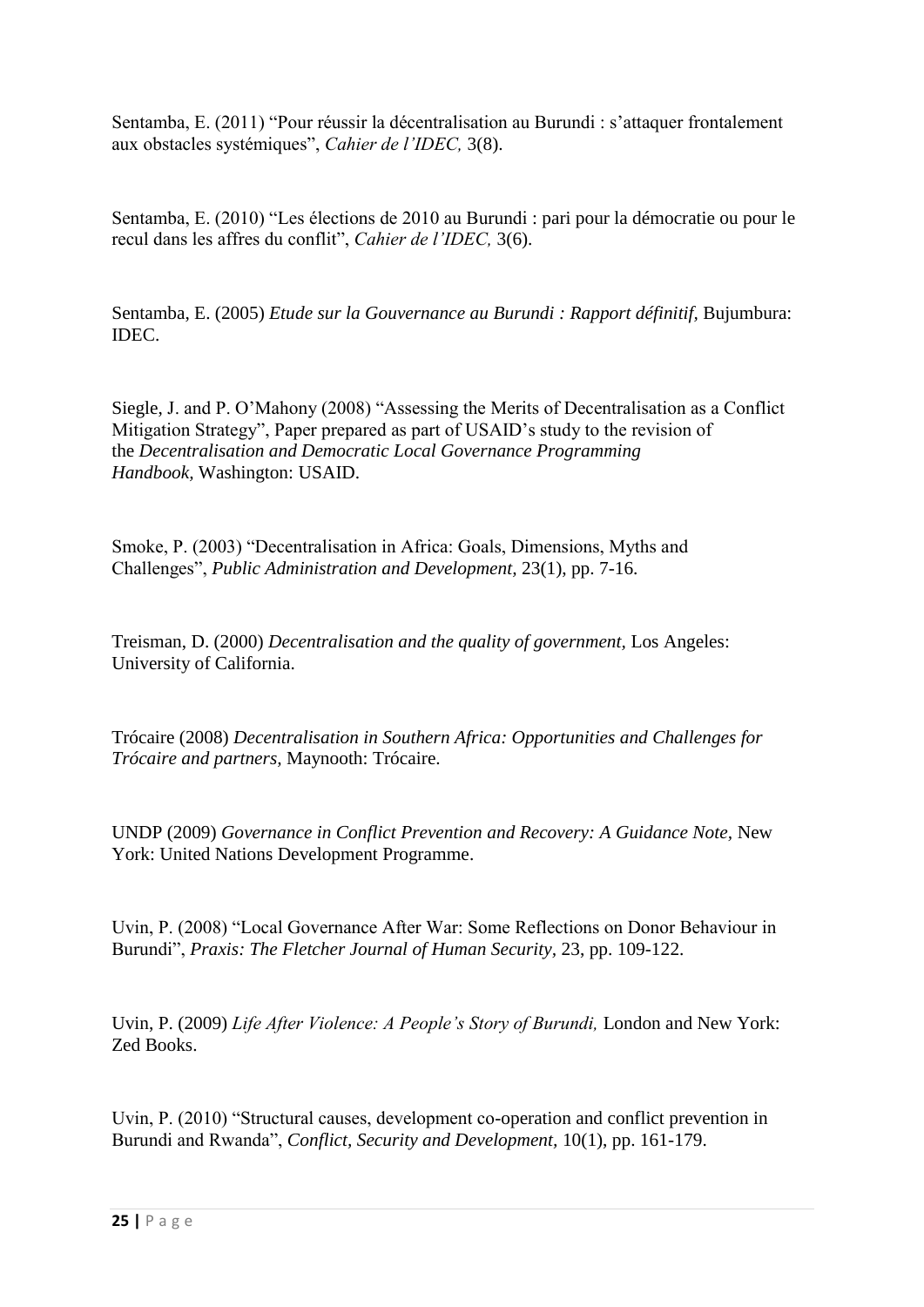Sentamba, E. (2011) "Pour réussir la décentralisation au Burundi : s'attaquer frontalement aux obstacles systémiques", *Cahier de l'IDEC,* 3(8).

Sentamba, E. (2010) "Les élections de 2010 au Burundi : pari pour la démocratie ou pour le recul dans les affres du conflit", *Cahier de l'IDEC,* 3(6).

Sentamba, E. (2005) *Etude sur la Gouvernance au Burundi : Rapport définitif,* Bujumbura: IDEC.

Siegle, J. and P. O'Mahony (2008) "Assessing the Merits of Decentralisation as a Conflict Mitigation Strategy", Paper prepared as part of USAID's study to the revision of the *Decentralisation and Democratic Local Governance Programming Handbook,* Washington: USAID.

Smoke, P. (2003) "Decentralisation in Africa: Goals, Dimensions, Myths and Challenges", *Public Administration and Development,* 23(1), pp. 7-16.

Treisman, D. (2000) *Decentralisation and the quality of government,* Los Angeles: University of California.

Trócaire (2008) *Decentralisation in Southern Africa: Opportunities and Challenges for Trócaire and partners,* Maynooth: Trócaire.

UNDP (2009) *Governance in Conflict Prevention and Recovery: A Guidance Note,* New York: United Nations Development Programme.

Uvin, P. (2008) "Local Governance After War: Some Reflections on Donor Behaviour in Burundi", *Praxis: The Fletcher Journal of Human Security,* 23, pp. 109-122.

Uvin, P. (2009) *Life After Violence: A People's Story of Burundi,* London and New York: Zed Books.

Uvin, P. (2010) "Structural causes, development co-operation and conflict prevention in Burundi and Rwanda", *Conflict, Security and Development,* 10(1), pp. 161-179.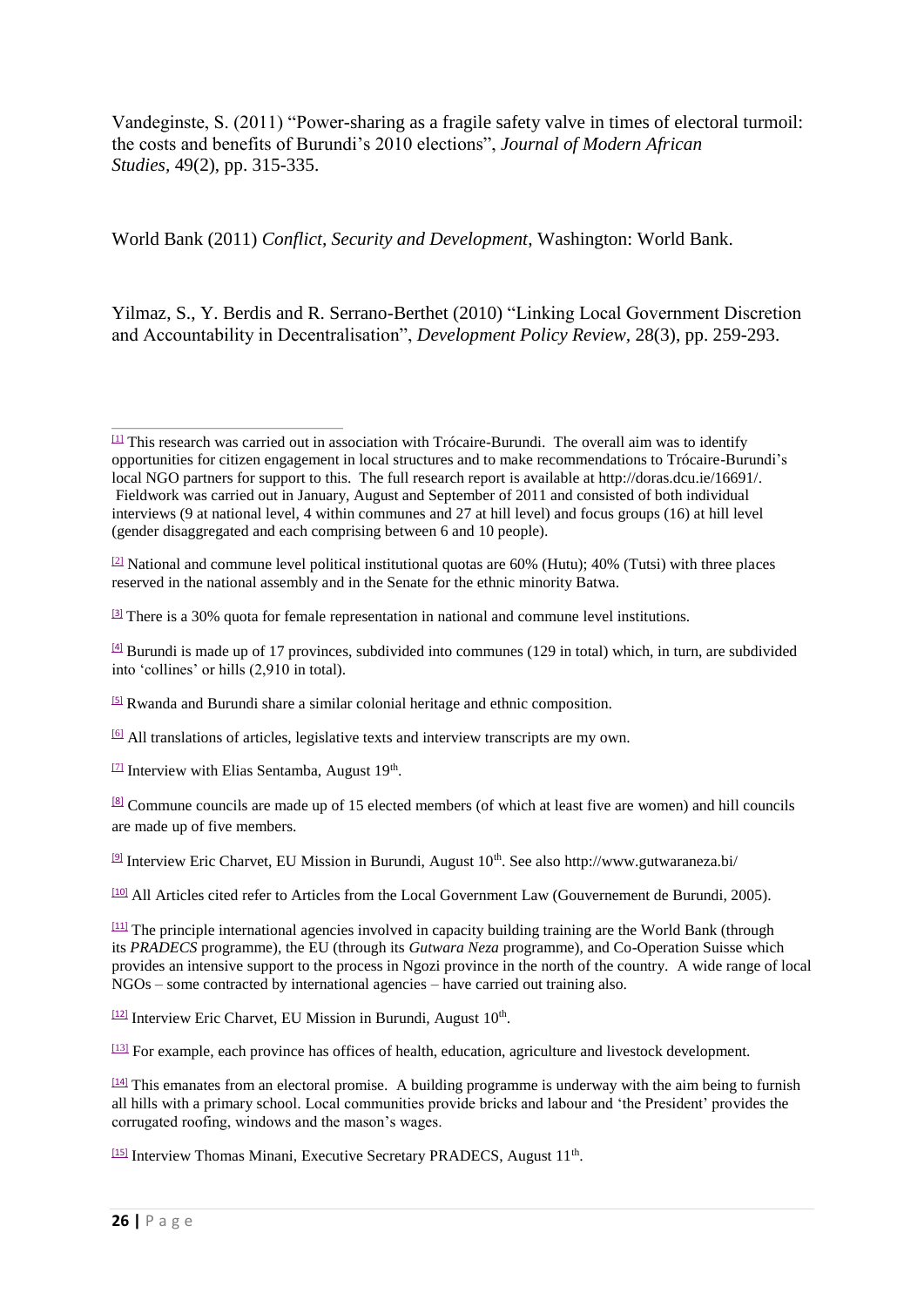Vandeginste, S. (2011) "Power-sharing as a fragile safety valve in times of electoral turmoil: the costs and benefits of Burundi's 2010 elections", *Journal of Modern African Studies,* 49(2), pp. 315-335.

World Bank (2011) *Conflict, Security and Development*, Washington: World Bank.

Yilmaz, S., Y. Berdis and R. Serrano-Berthet (2010) "Linking Local Government Discretion and Accountability in Decentralisation", *Development Policy Review,* 28(3), pp. 259-293.

[\[5\]](http://mc.manuscriptcentral.com/LongRequest/dpr?TAG_ACTION=DOWNLOAD_FILE_BY_NAME&DOCUMENT_ID=12071983&FILE_TO_DOWNLOAD=12071983_File000001_228024029.html-withlinks.htm&FILE_KEY=-1525394432&FILE_NAME_KEY=1498170122&DOWNLOAD=TRUE&FILE_TYPE=DOCUMENT&DOCUMENT_HASHCODE=&SANITY_CHECK_DOCUMENT_ID=&CURRENT_ROLE_ID=28935#_ftnref5) Rwanda and Burundi share a similar colonial heritage and ethnic composition.

[\[6\]](http://mc.manuscriptcentral.com/LongRequest/dpr?TAG_ACTION=DOWNLOAD_FILE_BY_NAME&DOCUMENT_ID=12071983&FILE_TO_DOWNLOAD=12071983_File000001_228024029.html-withlinks.htm&FILE_KEY=-1525394432&FILE_NAME_KEY=1498170122&DOWNLOAD=TRUE&FILE_TYPE=DOCUMENT&DOCUMENT_HASHCODE=&SANITY_CHECK_DOCUMENT_ID=&CURRENT_ROLE_ID=28935#_ftnref6) All translations of articles, legislative texts and interview transcripts are my own.

 $17$  Interview with Elias Sentamba, August 19<sup>th</sup>.

 $[8]$  Commune councils are made up of 15 elected members (of which at least five are women) and hill councils are made up of five members.

<sup>[\[9\]](http://mc.manuscriptcentral.com/LongRequest/dpr?TAG_ACTION=DOWNLOAD_FILE_BY_NAME&DOCUMENT_ID=12071983&FILE_TO_DOWNLOAD=12071983_File000001_228024029.html-withlinks.htm&FILE_KEY=-1525394432&FILE_NAME_KEY=1498170122&DOWNLOAD=TRUE&FILE_TYPE=DOCUMENT&DOCUMENT_HASHCODE=&SANITY_CHECK_DOCUMENT_ID=&CURRENT_ROLE_ID=28935#_ftnref9)</sup> Interview Eric Charvet, EU Mission in Burundi, August  $10^{th}$ . See also http://www.gutwaraneza.bi/

[\[10\]](http://mc.manuscriptcentral.com/LongRequest/dpr?TAG_ACTION=DOWNLOAD_FILE_BY_NAME&DOCUMENT_ID=12071983&FILE_TO_DOWNLOAD=12071983_File000001_228024029.html-withlinks.htm&FILE_KEY=-1525394432&FILE_NAME_KEY=1498170122&DOWNLOAD=TRUE&FILE_TYPE=DOCUMENT&DOCUMENT_HASHCODE=&SANITY_CHECK_DOCUMENT_ID=&CURRENT_ROLE_ID=28935#_ftnref10) All Articles cited refer to Articles from the Local Government Law (Gouvernement de Burundi, 2005).

 $\frac{[11]}{[11]}$  $\frac{[11]}{[11]}$  $\frac{[11]}{[11]}$  The principle international agencies involved in capacity building training are the World Bank (through its *PRADECS* programme), the EU (through its *Gutwara Neza* programme), and Co-Operation Suisse which provides an intensive support to the process in Ngozi province in the north of the country. A wide range of local NGOs – some contracted by international agencies – have carried out training also.

[\[12\]](http://mc.manuscriptcentral.com/LongRequest/dpr?TAG_ACTION=DOWNLOAD_FILE_BY_NAME&DOCUMENT_ID=12071983&FILE_TO_DOWNLOAD=12071983_File000001_228024029.html-withlinks.htm&FILE_KEY=-1525394432&FILE_NAME_KEY=1498170122&DOWNLOAD=TRUE&FILE_TYPE=DOCUMENT&DOCUMENT_HASHCODE=&SANITY_CHECK_DOCUMENT_ID=&CURRENT_ROLE_ID=28935#_ftnref12) Interview Eric Charvet, EU Mission in Burundi, August 10<sup>th</sup>.

[\[13\]](http://mc.manuscriptcentral.com/LongRequest/dpr?TAG_ACTION=DOWNLOAD_FILE_BY_NAME&DOCUMENT_ID=12071983&FILE_TO_DOWNLOAD=12071983_File000001_228024029.html-withlinks.htm&FILE_KEY=-1525394432&FILE_NAME_KEY=1498170122&DOWNLOAD=TRUE&FILE_TYPE=DOCUMENT&DOCUMENT_HASHCODE=&SANITY_CHECK_DOCUMENT_ID=&CURRENT_ROLE_ID=28935#_ftnref13) For example, each province has offices of health, education, agriculture and livestock development.

 $\frac{144}{12}$  This emanates from an electoral promise. A building programme is underway with the aim being to furnish all hills with a primary school. Local communities provide bricks and labour and 'the President' provides the corrugated roofing, windows and the mason's wages.

<sup>[\[15\]](http://mc.manuscriptcentral.com/LongRequest/dpr?TAG_ACTION=DOWNLOAD_FILE_BY_NAME&DOCUMENT_ID=12071983&FILE_TO_DOWNLOAD=12071983_File000001_228024029.html-withlinks.htm&FILE_KEY=-1525394432&FILE_NAME_KEY=1498170122&DOWNLOAD=TRUE&FILE_TYPE=DOCUMENT&DOCUMENT_HASHCODE=&SANITY_CHECK_DOCUMENT_ID=&CURRENT_ROLE_ID=28935#_ftnref15)</sup> Interview Thomas Minani, Executive Secretary PRADECS, August 11<sup>th</sup>.

[<sup>\[1\]</sup>](http://mc.manuscriptcentral.com/LongRequest/dpr?TAG_ACTION=DOWNLOAD_FILE_BY_NAME&DOCUMENT_ID=12071983&FILE_TO_DOWNLOAD=12071983_File000001_228024029.html-withlinks.htm&FILE_KEY=-1525394432&FILE_NAME_KEY=1498170122&DOWNLOAD=TRUE&FILE_TYPE=DOCUMENT&DOCUMENT_HASHCODE=&SANITY_CHECK_DOCUMENT_ID=&CURRENT_ROLE_ID=28935#_ftnref1) This research was carried out in association with Trócaire-Burundi. The overall aim was to identify opportunities for citizen engagement in local structures and to make recommendations to Trócaire-Burundi's local NGO partners for support to this. The full research report is available at http://doras.dcu.ie/16691/. Fieldwork was carried out in January, August and September of 2011 and consisted of both individual interviews (9 at national level, 4 within communes and 27 at hill level) and focus groups (16) at hill level (gender disaggregated and each comprising between 6 and 10 people).

 $\frac{2}{2}$  National and commune level political institutional quotas are 60% (Hutu); 40% (Tutsi) with three places reserved in the national assembly and in the Senate for the ethnic minority Batwa.

 $[3]$  There is a 30% quota for female representation in national and commune level institutions.

 $4$  Burundi is made up of 17 provinces, subdivided into communes (129 in total) which, in turn, are subdivided into 'collines' or hills (2,910 in total).